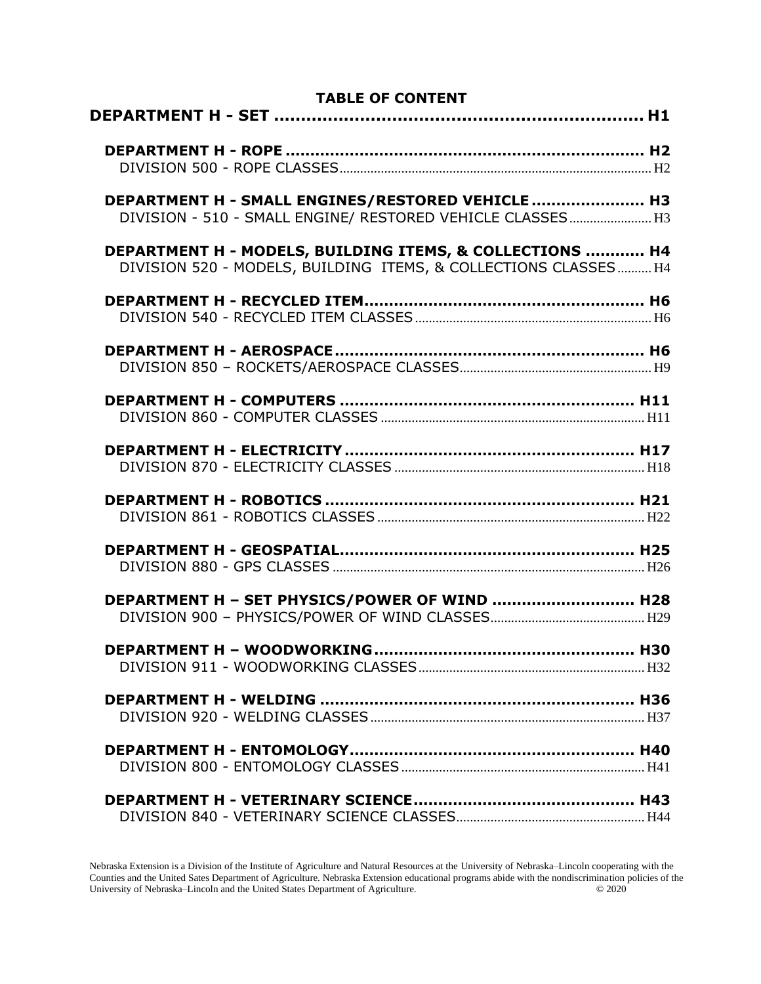| <b>TABLE OF CONTENT</b>                                                                                                     |  |
|-----------------------------------------------------------------------------------------------------------------------------|--|
|                                                                                                                             |  |
| DEPARTMENT H - SMALL ENGINES/RESTORED VEHICLE  H3<br>DIVISION - 510 - SMALL ENGINE/ RESTORED VEHICLE CLASSES H3             |  |
| DEPARTMENT H - MODELS, BUILDING ITEMS, & COLLECTIONS  H4<br>DIVISION 520 - MODELS, BUILDING ITEMS, & COLLECTIONS CLASSES H4 |  |
|                                                                                                                             |  |
|                                                                                                                             |  |
|                                                                                                                             |  |
|                                                                                                                             |  |
|                                                                                                                             |  |
|                                                                                                                             |  |
| DEPARTMENT H - SET PHYSICS/POWER OF WIND  H28                                                                               |  |
|                                                                                                                             |  |
|                                                                                                                             |  |
|                                                                                                                             |  |
|                                                                                                                             |  |

Nebraska Extension is a Division of the Institute of Agriculture and Natural Resources at the University of Nebraska–Lincoln cooperating with the Counties and the United Sates Department of Agriculture. Nebraska Extension educational programs abide with the nondiscrimination policies of the University of Nebraska–Lincoln and the United States Department of Agriculture. © 2020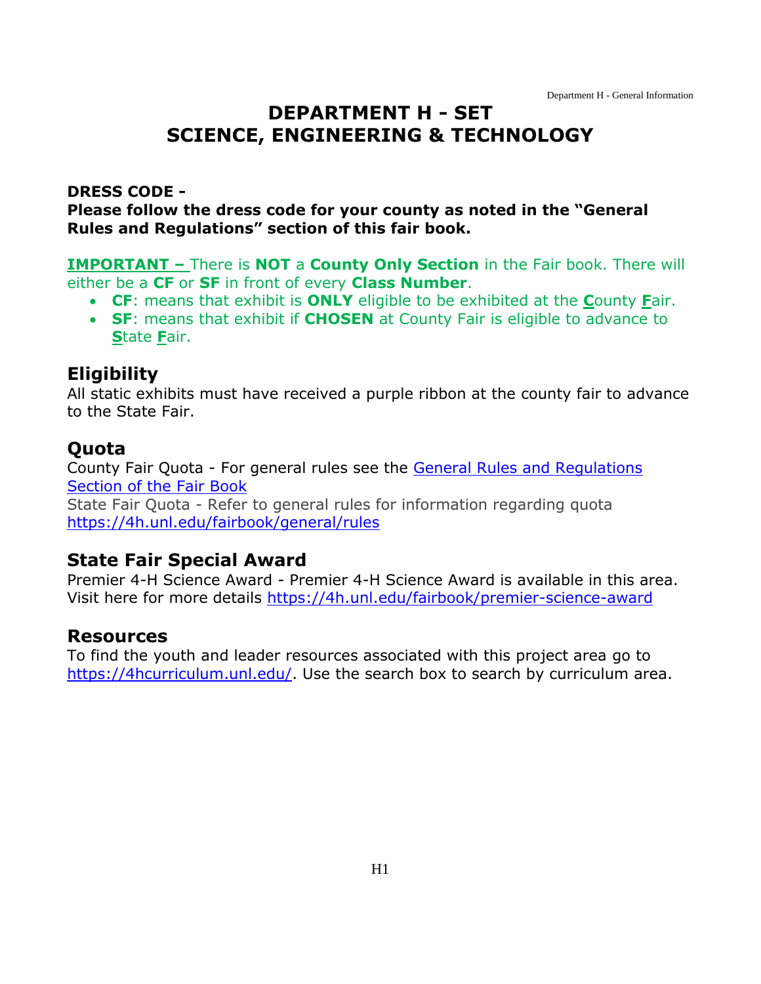# <span id="page-1-0"></span>**DEPARTMENT H - SET SCIENCE, ENGINEERING & TECHNOLOGY**

#### **DRESS CODE -**

**Please follow the dress code for your county as noted in the "General Rules and Regulations" section of this fair book.**

**IMPORTANT –** There is **NOT** a **County Only Section** in the Fair book. There will either be a **CF** or **SF** in front of every **Class Number**.

- **CF**: means that exhibit is **ONLY** eligible to be exhibited at the **C**ounty **F**air.
- **SF**: means that exhibit if **CHOSEN** at County Fair is eligible to advance to **S**tate **F**air.

#### **Eligibility**

All static exhibits must have received a purple ribbon at the county fair to advance to the State Fair.

#### **Quota**

County Fair Quota - For general rules see the [General Rules and Regulations](https://unl.box.com/s/e7w1cmzwit0us89x96k1h2gdrs51dsy2)  [Section of the Fair Book](https://unl.box.com/s/e7w1cmzwit0us89x96k1h2gdrs51dsy2)

State Fair Quota - Refer to general rules for information regarding quota <https://4h.unl.edu/fairbook/general/rules>

#### **State Fair Special Award**

Premier 4-H Science Award - Premier 4-H Science Award is available in this area. Visit here for more details<https://4h.unl.edu/fairbook/premier-science-award>

#### **Resources**

To find the youth and leader resources associated with this project area go to [https://4hcurriculum.unl.edu/.](https://4hcurriculum.unl.edu/) Use the search box to search by curriculum area.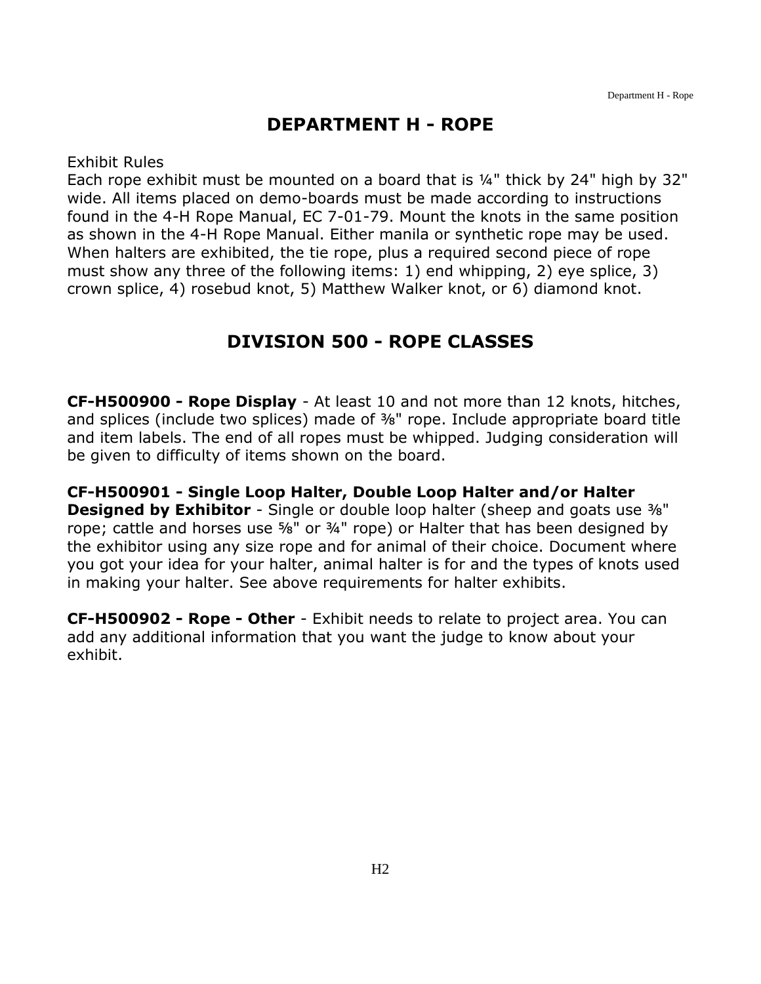### **DEPARTMENT H - ROPE**

<span id="page-2-0"></span>Exhibit Rules

Each rope exhibit must be mounted on a board that is ¼" thick by 24" high by 32" wide. All items placed on demo-boards must be made according to instructions found in the 4-H Rope Manual, EC 7-01-79. Mount the knots in the same position as shown in the 4-H Rope Manual. Either manila or synthetic rope may be used. When halters are exhibited, the tie rope, plus a required second piece of rope must show any three of the following items: 1) end whipping, 2) eye splice, 3) crown splice, 4) rosebud knot, 5) Matthew Walker knot, or 6) diamond knot.

### **DIVISION 500 - ROPE CLASSES**

<span id="page-2-1"></span>**CF-H500900 - Rope Display** - At least 10 and not more than 12 knots, hitches, and splices (include two splices) made of 3%" rope. Include appropriate board title and item labels. The end of all ropes must be whipped. Judging consideration will be given to difficulty of items shown on the board.

**CF-H500901 - Single Loop Halter, Double Loop Halter and/or Halter Designed by Exhibitor** - Single or double loop halter (sheep and goats use  $\frac{3}{8}$ ") rope; cattle and horses use ⅝" or ¾" rope) or Halter that has been designed by the exhibitor using any size rope and for animal of their choice. Document where you got your idea for your halter, animal halter is for and the types of knots used in making your halter. See above requirements for halter exhibits.

**CF-H500902 - Rope - Other** - Exhibit needs to relate to project area. You can add any additional information that you want the judge to know about your exhibit.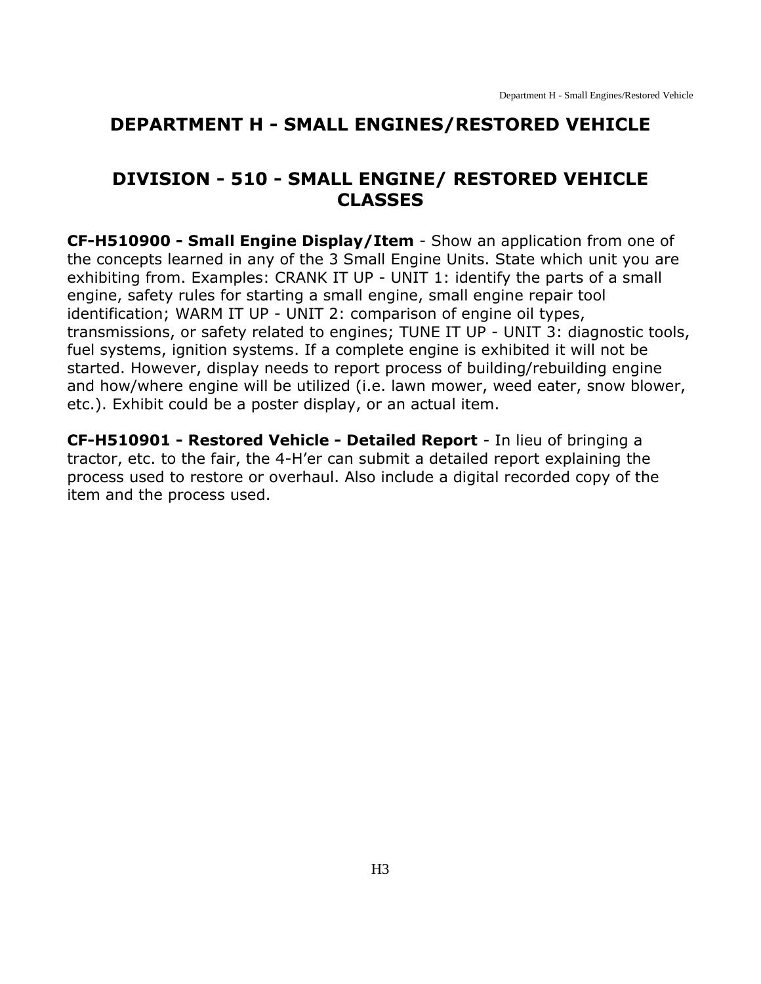#### <span id="page-3-0"></span>**DEPARTMENT H - SMALL ENGINES/RESTORED VEHICLE**

#### <span id="page-3-1"></span>**DIVISION - 510 - SMALL ENGINE/ RESTORED VEHICLE CLASSES**

**CF-H510900 - Small Engine Display/Item** - Show an application from one of the concepts learned in any of the 3 Small Engine Units. State which unit you are exhibiting from. Examples: CRANK IT UP - UNIT 1: identify the parts of a small engine, safety rules for starting a small engine, small engine repair tool identification; WARM IT UP - UNIT 2: comparison of engine oil types, transmissions, or safety related to engines; TUNE IT UP - UNIT 3: diagnostic tools, fuel systems, ignition systems. If a complete engine is exhibited it will not be started. However, display needs to report process of building/rebuilding engine and how/where engine will be utilized (i.e. lawn mower, weed eater, snow blower, etc.). Exhibit could be a poster display, or an actual item.

**CF-H510901 - Restored Vehicle - Detailed Report** - In lieu of bringing a tractor, etc. to the fair, the 4-H'er can submit a detailed report explaining the process used to restore or overhaul. Also include a digital recorded copy of the item and the process used.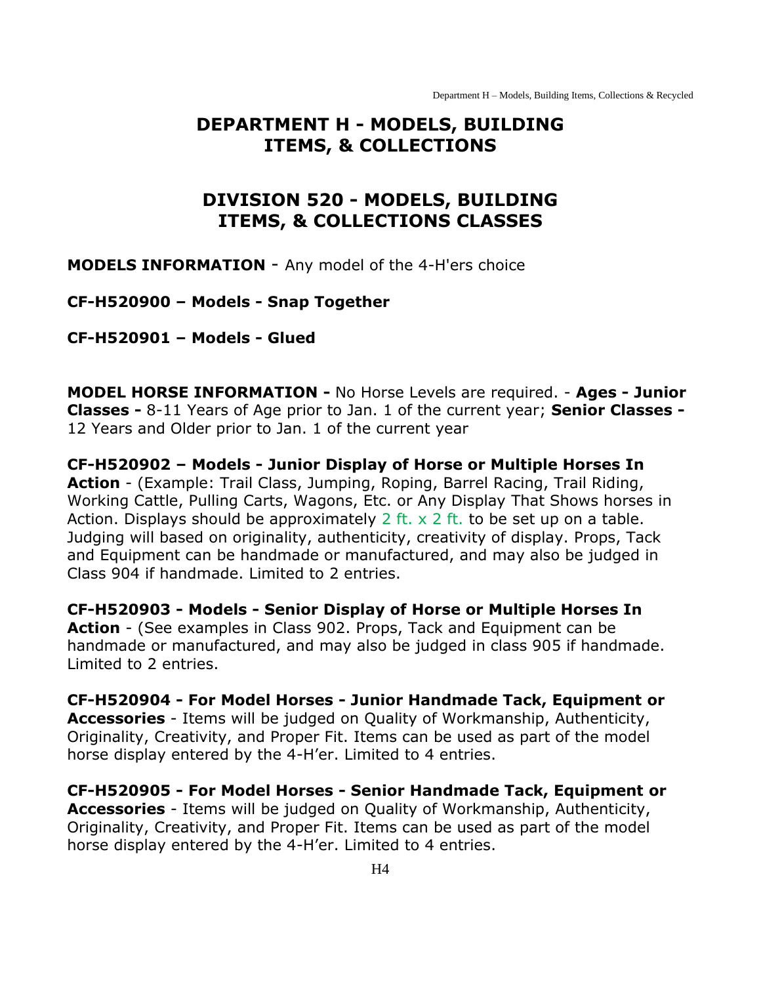Department H – Models, Building Items, Collections & Recycled

#### <span id="page-4-0"></span>**DEPARTMENT H - MODELS, BUILDING ITEMS, & COLLECTIONS**

### **DIVISION 520 - MODELS, BUILDING ITEMS, & COLLECTIONS CLASSES**

<span id="page-4-1"></span>**MODELS INFORMATION** - Any model of the 4-H'ers choice

**CF-H520900 – Models - Snap Together** 

**CF-H520901 – Models - Glued** 

**MODEL HORSE INFORMATION -** No Horse Levels are required. - **Ages - Junior Classes -** 8-11 Years of Age prior to Jan. 1 of the current year; **Senior Classes -** 12 Years and Older prior to Jan. 1 of the current year

**CF-H520902 – Models - Junior Display of Horse or Multiple Horses In Action** - (Example: Trail Class, Jumping, Roping, Barrel Racing, Trail Riding, Working Cattle, Pulling Carts, Wagons, Etc. or Any Display That Shows horses in Action. Displays should be approximately 2 ft.  $\times$  2 ft. to be set up on a table. Judging will based on originality, authenticity, creativity of display. Props, Tack and Equipment can be handmade or manufactured, and may also be judged in Class 904 if handmade. Limited to 2 entries.

**CF-H520903 - Models - Senior Display of Horse or Multiple Horses In Action** - (See examples in Class 902. Props, Tack and Equipment can be handmade or manufactured, and may also be judged in class 905 if handmade. Limited to 2 entries.

**CF-H520904 - For Model Horses - Junior Handmade Tack, Equipment or Accessories** - Items will be judged on Quality of Workmanship, Authenticity, Originality, Creativity, and Proper Fit. Items can be used as part of the model horse display entered by the 4-H'er. Limited to 4 entries.

**CF-H520905 - For Model Horses - Senior Handmade Tack, Equipment or Accessories** - Items will be judged on Quality of Workmanship, Authenticity, Originality, Creativity, and Proper Fit. Items can be used as part of the model horse display entered by the 4-H'er. Limited to 4 entries.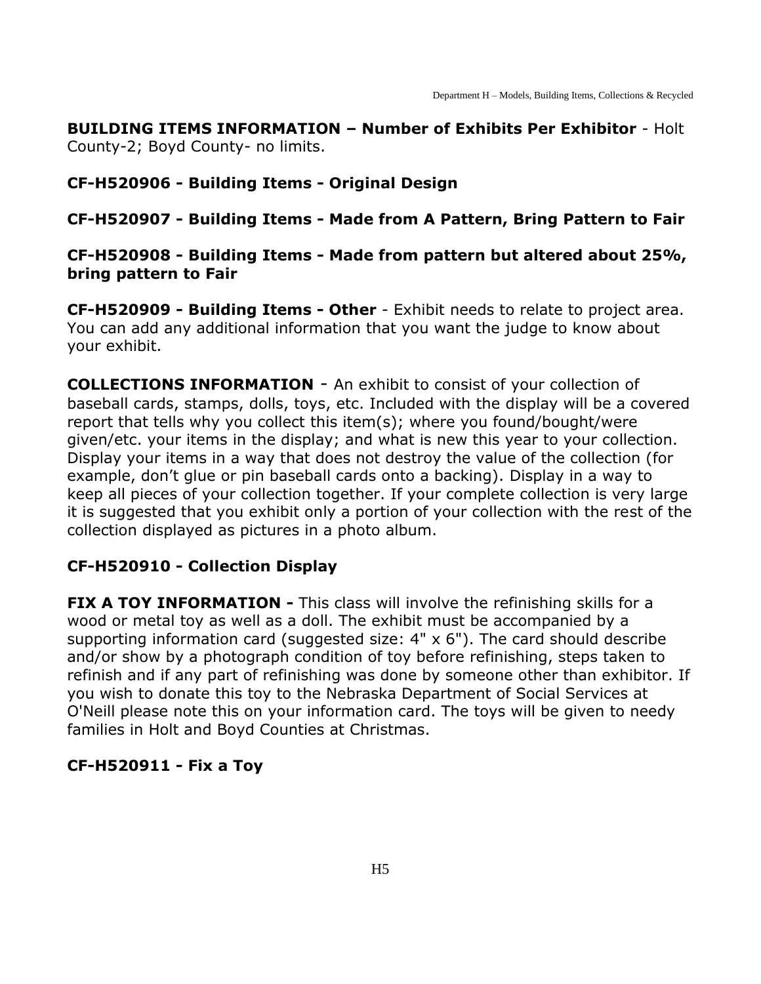**BUILDING ITEMS INFORMATION – Number of Exhibits Per Exhibitor** - Holt County-2; Boyd County- no limits.

#### **CF-H520906 - Building Items - Original Design**

#### **CF-H520907 - Building Items - Made from A Pattern, Bring Pattern to Fair**

#### **CF-H520908 - Building Items - Made from pattern but altered about 25%, bring pattern to Fair**

**CF-H520909 - Building Items - Other** - Exhibit needs to relate to project area. You can add any additional information that you want the judge to know about your exhibit.

**COLLECTIONS INFORMATION** - An exhibit to consist of your collection of baseball cards, stamps, dolls, toys, etc. Included with the display will be a covered report that tells why you collect this item(s); where you found/bought/were given/etc. your items in the display; and what is new this year to your collection. Display your items in a way that does not destroy the value of the collection (for example, don't glue or pin baseball cards onto a backing). Display in a way to keep all pieces of your collection together. If your complete collection is very large it is suggested that you exhibit only a portion of your collection with the rest of the collection displayed as pictures in a photo album.

#### **CF-H520910 - Collection Display**

**FIX A TOY INFORMATION -** This class will involve the refinishing skills for a wood or metal toy as well as a doll. The exhibit must be accompanied by a supporting information card (suggested size:  $4" \times 6"$ ). The card should describe and/or show by a photograph condition of toy before refinishing, steps taken to refinish and if any part of refinishing was done by someone other than exhibitor. If you wish to donate this toy to the Nebraska Department of Social Services at O'Neill please note this on your information card. The toys will be given to needy families in Holt and Boyd Counties at Christmas.

#### **CF-H520911 - Fix a Toy**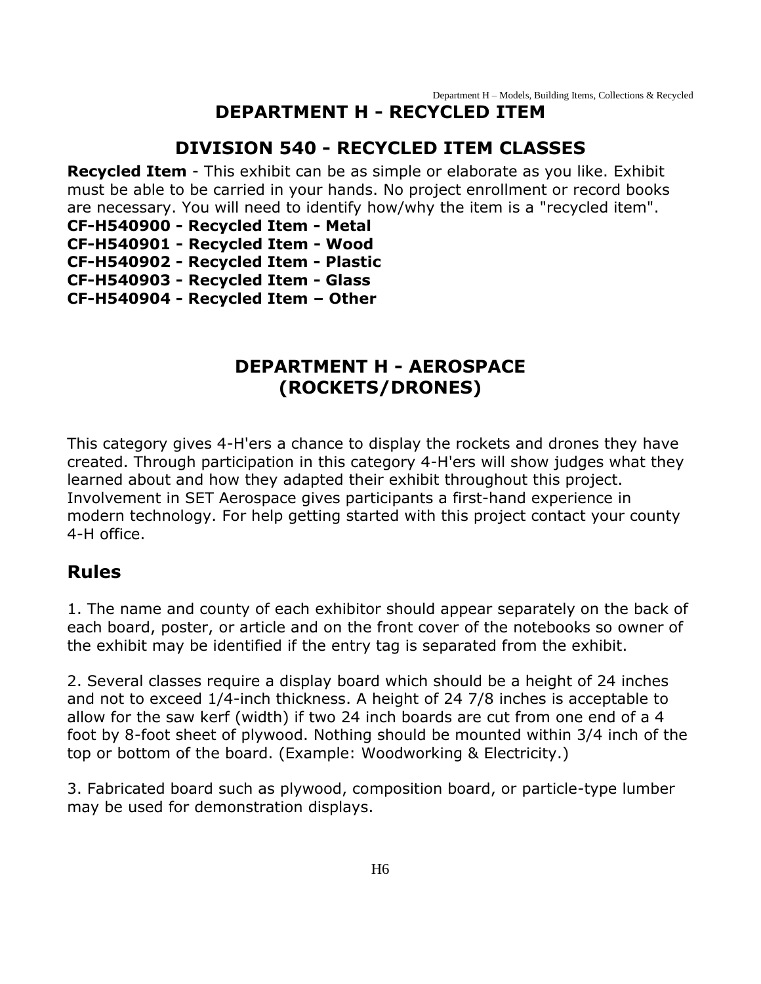#### **DEPARTMENT H - RECYCLED ITEM**

#### **DIVISION 540 - RECYCLED ITEM CLASSES**

<span id="page-6-1"></span><span id="page-6-0"></span>**Recycled Item** - This exhibit can be as simple or elaborate as you like. Exhibit must be able to be carried in your hands. No project enrollment or record books are necessary. You will need to identify how/why the item is a "recycled item".

**CF-H540900 - Recycled Item - Metal**

- **CF-H540901 - Recycled Item - Wood**
- **CF-H540902 - Recycled Item - Plastic**
- **CF-H540903 - Recycled Item - Glass**
- <span id="page-6-2"></span>**CF-H540904 - Recycled Item – Other**

#### **DEPARTMENT H - AEROSPACE (ROCKETS/DRONES)**

This category gives 4-H'ers a chance to display the rockets and drones they have created. Through participation in this category 4-H'ers will show judges what they learned about and how they adapted their exhibit throughout this project. Involvement in SET Aerospace gives participants a first-hand experience in modern technology. For help getting started with this project contact your county 4-H office.

#### **Rules**

1. The name and county of each exhibitor should appear separately on the back of each board, poster, or article and on the front cover of the notebooks so owner of the exhibit may be identified if the entry tag is separated from the exhibit.

2. Several classes require a display board which should be a height of 24 inches and not to exceed 1/4-inch thickness. A height of 24 7/8 inches is acceptable to allow for the saw kerf (width) if two 24 inch boards are cut from one end of a 4 foot by 8-foot sheet of plywood. Nothing should be mounted within 3/4 inch of the top or bottom of the board. (Example: Woodworking & Electricity.)

3. Fabricated board such as plywood, composition board, or particle-type lumber may be used for demonstration displays.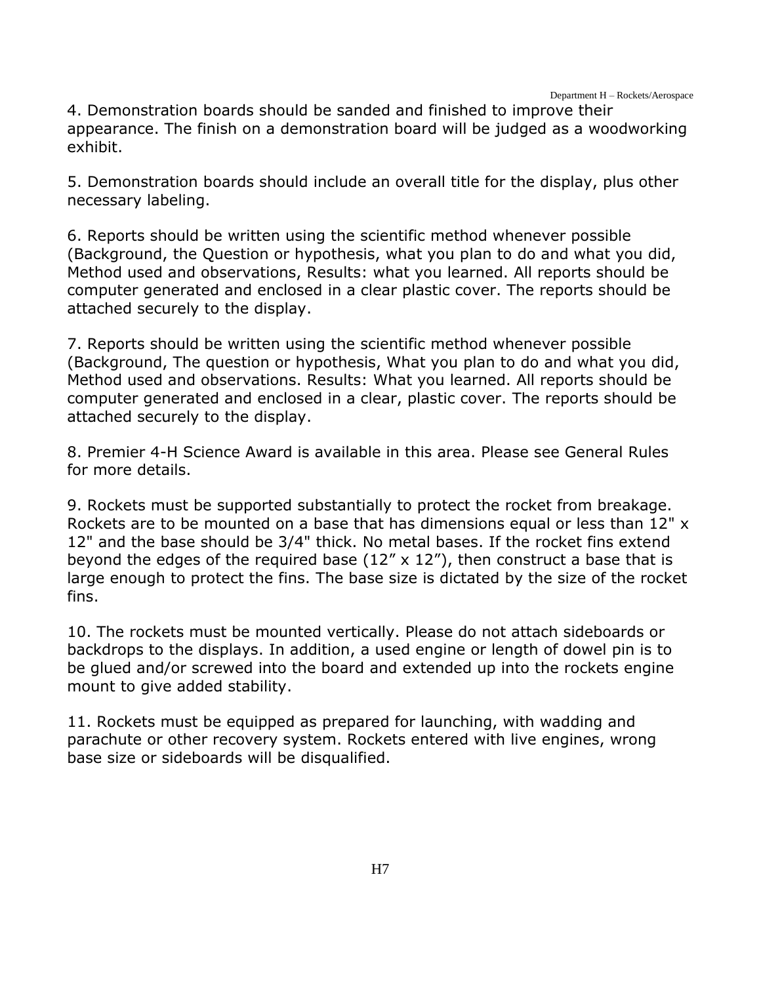4. Demonstration boards should be sanded and finished to improve their appearance. The finish on a demonstration board will be judged as a woodworking exhibit.

5. Demonstration boards should include an overall title for the display, plus other necessary labeling.

6. Reports should be written using the scientific method whenever possible (Background, the Question or hypothesis, what you plan to do and what you did, Method used and observations, Results: what you learned. All reports should be computer generated and enclosed in a clear plastic cover. The reports should be attached securely to the display.

7. Reports should be written using the scientific method whenever possible (Background, The question or hypothesis, What you plan to do and what you did, Method used and observations. Results: What you learned. All reports should be computer generated and enclosed in a clear, plastic cover. The reports should be attached securely to the display.

8. Premier 4-H Science Award is available in this area. Please see General Rules for more details.

9. Rockets must be supported substantially to protect the rocket from breakage. Rockets are to be mounted on a base that has dimensions equal or less than 12" x 12" and the base should be 3/4" thick. No metal bases. If the rocket fins extend beyond the edges of the required base  $(12'' \times 12'')$ , then construct a base that is large enough to protect the fins. The base size is dictated by the size of the rocket fins.

10. The rockets must be mounted vertically. Please do not attach sideboards or backdrops to the displays. In addition, a used engine or length of dowel pin is to be glued and/or screwed into the board and extended up into the rockets engine mount to give added stability.

11. Rockets must be equipped as prepared for launching, with wadding and parachute or other recovery system. Rockets entered with live engines, wrong base size or sideboards will be disqualified.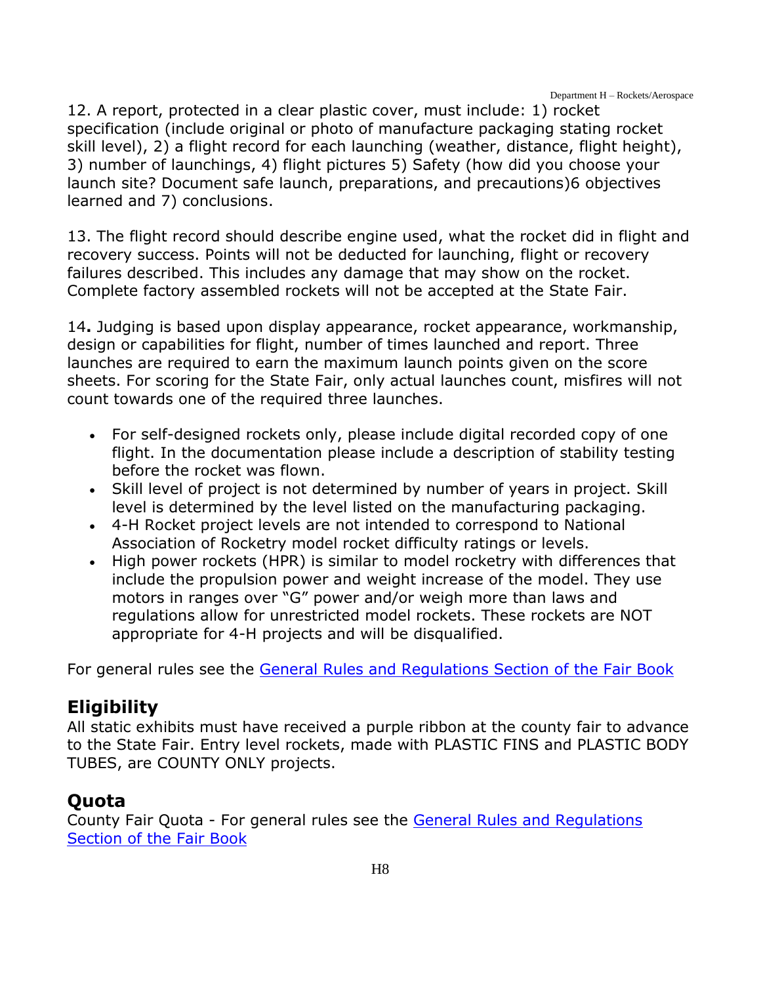12. A report, protected in a clear plastic cover, must include: 1) rocket specification (include original or photo of manufacture packaging stating rocket skill level), 2) a flight record for each launching (weather, distance, flight height), 3) number of launchings, 4) flight pictures 5) Safety (how did you choose your launch site? Document safe launch, preparations, and precautions)6 objectives learned and 7) conclusions.

13. The flight record should describe engine used, what the rocket did in flight and recovery success. Points will not be deducted for launching, flight or recovery failures described. This includes any damage that may show on the rocket. Complete factory assembled rockets will not be accepted at the State Fair.

14**.** Judging is based upon display appearance, rocket appearance, workmanship, design or capabilities for flight, number of times launched and report. Three launches are required to earn the maximum launch points given on the score sheets. For scoring for the State Fair, only actual launches count, misfires will not count towards one of the required three launches.

- For self-designed rockets only, please include digital recorded copy of one flight. In the documentation please include a description of stability testing before the rocket was flown.
- Skill level of project is not determined by number of years in project. Skill level is determined by the level listed on the manufacturing packaging.
- 4-H Rocket project levels are not intended to correspond to National Association of Rocketry model rocket difficulty ratings or levels.
- High power rockets (HPR) is similar to model rocketry with differences that include the propulsion power and weight increase of the model. They use motors in ranges over "G" power and/or weigh more than laws and regulations allow for unrestricted model rockets. These rockets are NOT appropriate for 4-H projects and will be disqualified.

For general rules see the General Rules and [Regulations Section of the Fair Book](https://unl.box.com/s/e7w1cmzwit0us89x96k1h2gdrs51dsy2)

# **Eligibility**

All static exhibits must have received a purple ribbon at the county fair to advance to the State Fair. Entry level rockets, made with PLASTIC FINS and PLASTIC BODY TUBES, are COUNTY ONLY projects.

### **Quota**

County Fair Quota - For general rules see the [General Rules and Regulations](https://unl.box.com/s/e7w1cmzwit0us89x96k1h2gdrs51dsy2)  [Section of the Fair Book](https://unl.box.com/s/e7w1cmzwit0us89x96k1h2gdrs51dsy2)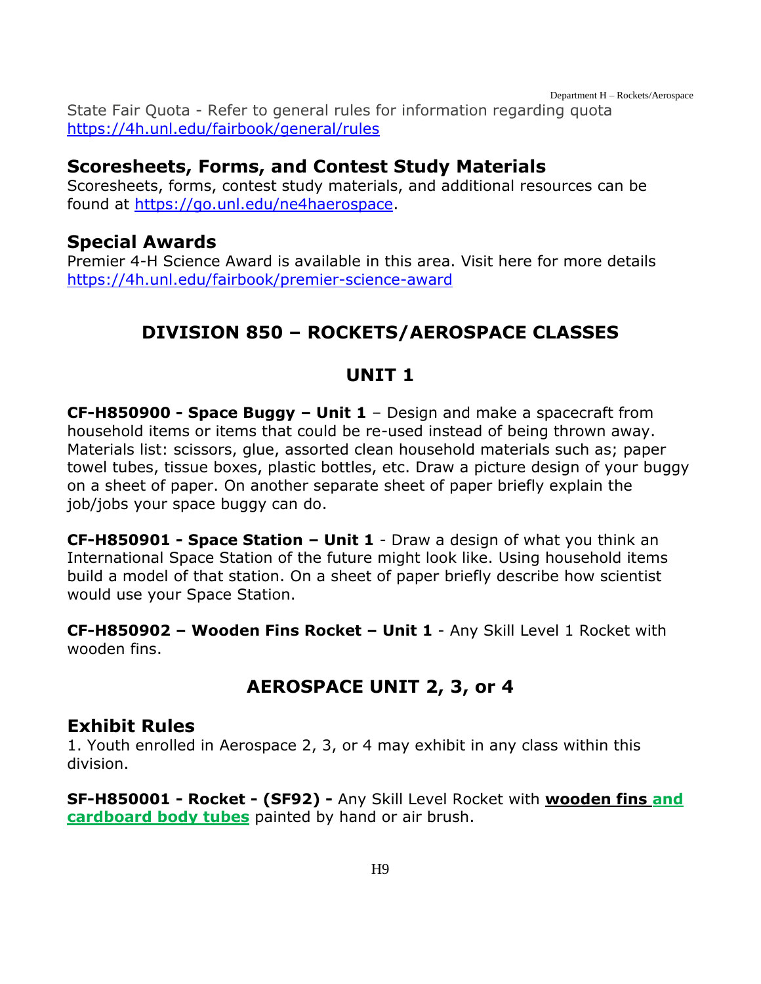State Fair Quota - Refer to general rules for information regarding quota <https://4h.unl.edu/fairbook/general/rules>

#### **Scoresheets, Forms, and Contest Study Materials**

Scoresheets, forms, contest study materials, and additional resources can be found at [https://go.unl.edu/ne4haerospace.](http://go.unl.edu/ne4haerospace)

### **Special Awards**

<span id="page-9-0"></span>Premier 4-H Science Award is available in this area. Visit here for more details <https://4h.unl.edu/fairbook/premier-science-award>

# **DIVISION 850 – ROCKETS/AEROSPACE CLASSES**

### **UNIT 1**

**CF-H850900 - Space Buggy – Unit 1** – Design and make a spacecraft from household items or items that could be re-used instead of being thrown away. Materials list: scissors, glue, assorted clean household materials such as; paper towel tubes, tissue boxes, plastic bottles, etc. Draw a picture design of your buggy on a sheet of paper. On another separate sheet of paper briefly explain the job/jobs your space buggy can do.

**CF-H850901 - Space Station – Unit 1** - Draw a design of what you think an International Space Station of the future might look like. Using household items build a model of that station. On a sheet of paper briefly describe how scientist would use your Space Station.

**CF-H850902 – Wooden Fins Rocket – Unit 1** - Any Skill Level 1 Rocket with wooden fins.

# **AEROSPACE UNIT 2, 3, or 4**

#### **Exhibit Rules**

1. Youth enrolled in Aerospace 2, 3, or 4 may exhibit in any class within this division.

**SF-H850001 - Rocket - (SF92) -** Any Skill Level Rocket with **wooden fins and cardboard body tubes** painted by hand or air brush.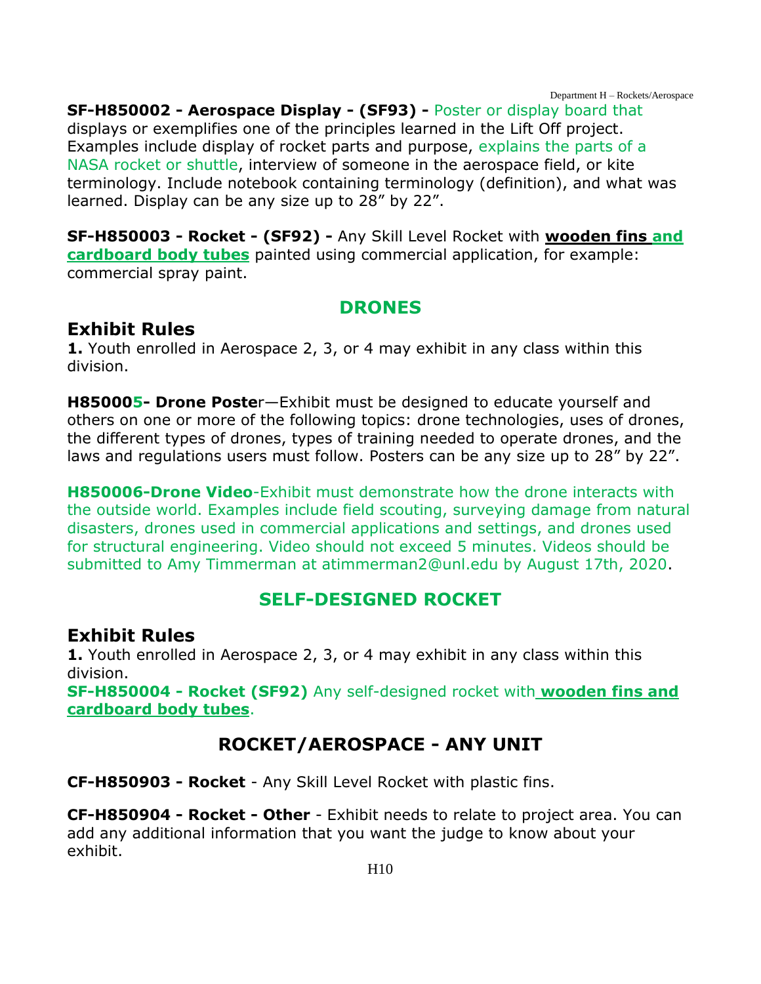**SF-H850002 - Aerospace Display - (SF93) -** Poster or display board that displays or exemplifies one of the principles learned in the Lift Off project. Examples include display of rocket parts and purpose, explains the parts of a NASA rocket or shuttle, interview of someone in the aerospace field, or kite terminology. Include notebook containing terminology (definition), and what was learned. Display can be any size up to 28" by 22".

**SF-H850003 - Rocket - (SF92) -** Any Skill Level Rocket with **wooden fins and cardboard body tubes** painted using commercial application, for example: commercial spray paint.

#### **DRONES**

#### **Exhibit Rules**

**1.** Youth enrolled in Aerospace 2, 3, or 4 may exhibit in any class within this division.

**H850005- Drone Poste**r—Exhibit must be designed to educate yourself and others on one or more of the following topics: drone technologies, uses of drones, the different types of drones, types of training needed to operate drones, and the laws and regulations users must follow. Posters can be any size up to 28" by 22".

**H850006-Drone Video**-Exhibit must demonstrate how the drone interacts with the outside world. Examples include field scouting, surveying damage from natural disasters, drones used in commercial applications and settings, and drones used for structural engineering. Video should not exceed 5 minutes. Videos should be submitted to Amy Timmerman at atimmerman2@unl.edu by August 17th, 2020.

### **SELF-DESIGNED ROCKET**

#### **Exhibit Rules**

**1.** Youth enrolled in Aerospace 2, 3, or 4 may exhibit in any class within this division.

**SF-H850004 - Rocket (SF92)** Any self-designed rocket with **wooden fins and cardboard body tubes**.

# **ROCKET/AEROSPACE - ANY UNIT**

**CF-H850903 - Rocket** - Any Skill Level Rocket with plastic fins.

**CF-H850904 - Rocket - Other** - Exhibit needs to relate to project area. You can add any additional information that you want the judge to know about your exhibit.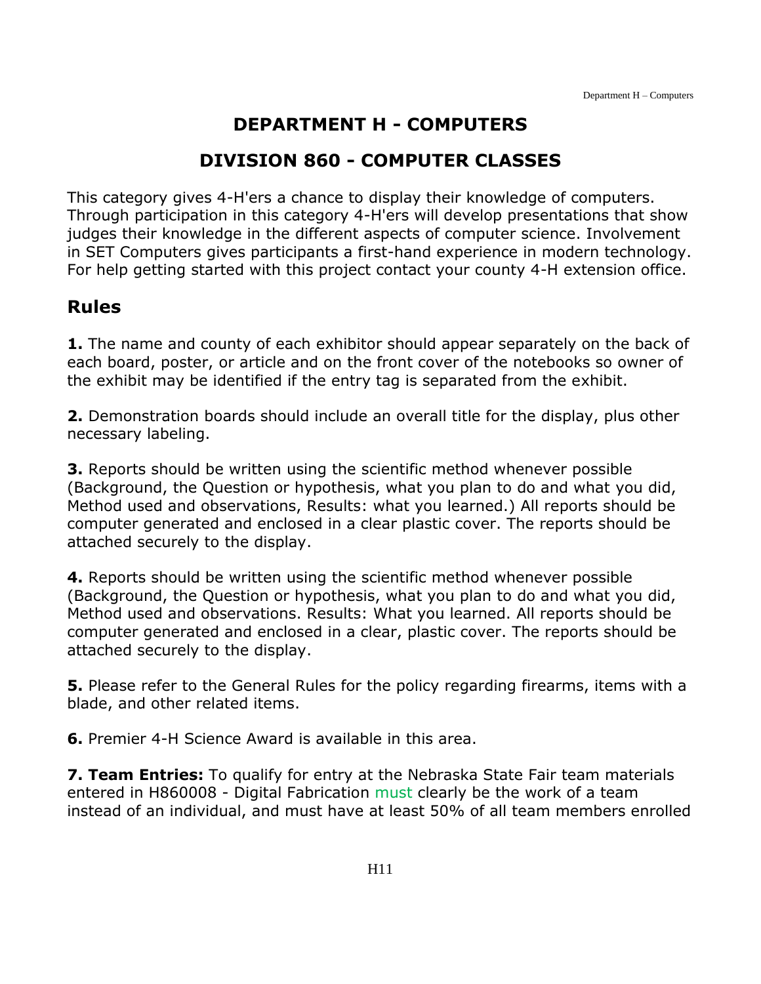# **DEPARTMENT H - COMPUTERS**

# **DIVISION 860 - COMPUTER CLASSES**

<span id="page-11-1"></span><span id="page-11-0"></span>This category gives 4-H'ers a chance to display their knowledge of computers. Through participation in this category 4-H'ers will develop presentations that show judges their knowledge in the different aspects of computer science. Involvement in SET Computers gives participants a first-hand experience in modern technology. For help getting started with this project contact your county 4-H extension office.

### **Rules**

**1.** The name and county of each exhibitor should appear separately on the back of each board, poster, or article and on the front cover of the notebooks so owner of the exhibit may be identified if the entry tag is separated from the exhibit.

**2.** Demonstration boards should include an overall title for the display, plus other necessary labeling.

**3.** Reports should be written using the scientific method whenever possible (Background, the Question or hypothesis, what you plan to do and what you did, Method used and observations, Results: what you learned.) All reports should be computer generated and enclosed in a clear plastic cover. The reports should be attached securely to the display.

**4.** Reports should be written using the scientific method whenever possible (Background, the Question or hypothesis, what you plan to do and what you did, Method used and observations. Results: What you learned. All reports should be computer generated and enclosed in a clear, plastic cover. The reports should be attached securely to the display.

**5.** Please refer to the General Rules for the policy regarding firearms, items with a blade, and other related items.

**6.** Premier 4-H Science Award is available in this area.

**7. Team Entries:** To qualify for entry at the Nebraska State Fair team materials entered in H860008 - Digital Fabrication must clearly be the work of a team instead of an individual, and must have at least 50% of all team members enrolled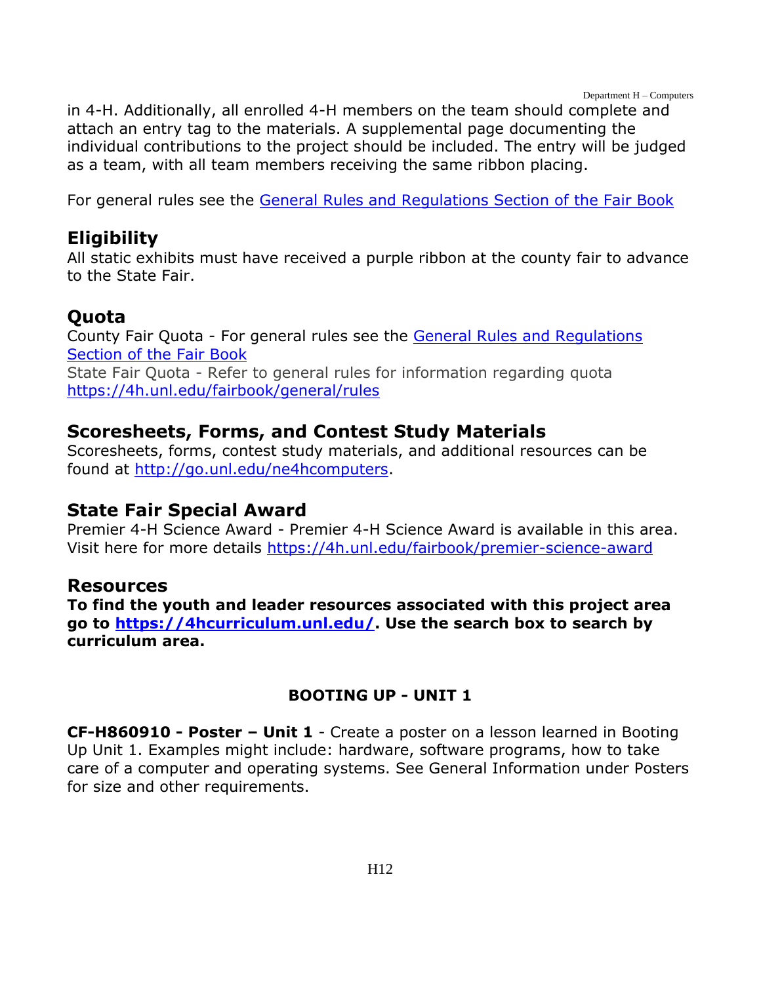Department H – Computers

in 4-H. Additionally, all enrolled 4-H members on the team should complete and attach an entry tag to the materials. A supplemental page documenting the individual contributions to the project should be included. The entry will be judged as a team, with all team members receiving the same ribbon placing.

For general rules see the [General Rules and Regulations Section of the Fair Book](https://unl.box.com/s/e7w1cmzwit0us89x96k1h2gdrs51dsy2)

### **Eligibility**

All static exhibits must have received a purple ribbon at the county fair to advance to the State Fair.

### **Quota**

County Fair Quota - For general rules see the [General Rules and Regulations](https://unl.box.com/s/e7w1cmzwit0us89x96k1h2gdrs51dsy2)  [Section of the Fair Book](https://unl.box.com/s/e7w1cmzwit0us89x96k1h2gdrs51dsy2) State Fair Quota - Refer to general rules for information regarding quota <https://4h.unl.edu/fairbook/general/rules>

### **Scoresheets, Forms, and Contest Study Materials**

Scoresheets, forms, contest study materials, and additional resources can be found at [http://go.unl.edu/ne4hcomputers.](http://go.unl.edu/ne4hcomputers)

### **State Fair Special Award**

Premier 4-H Science Award - Premier 4-H Science Award is available in this area. Visit here for more details<https://4h.unl.edu/fairbook/premier-science-award>

#### **Resources**

**To find the youth and leader resources associated with this project area go to [https://4hcurriculum.unl.edu/.](https://4hcurriculum.unl.edu/) Use the search box to search by curriculum area.**

#### **BOOTING UP - UNIT 1**

**CF-H860910 - Poster – Unit 1** - Create a poster on a lesson learned in Booting Up Unit 1. Examples might include: hardware, software programs, how to take care of a computer and operating systems. See General Information under Posters for size and other requirements.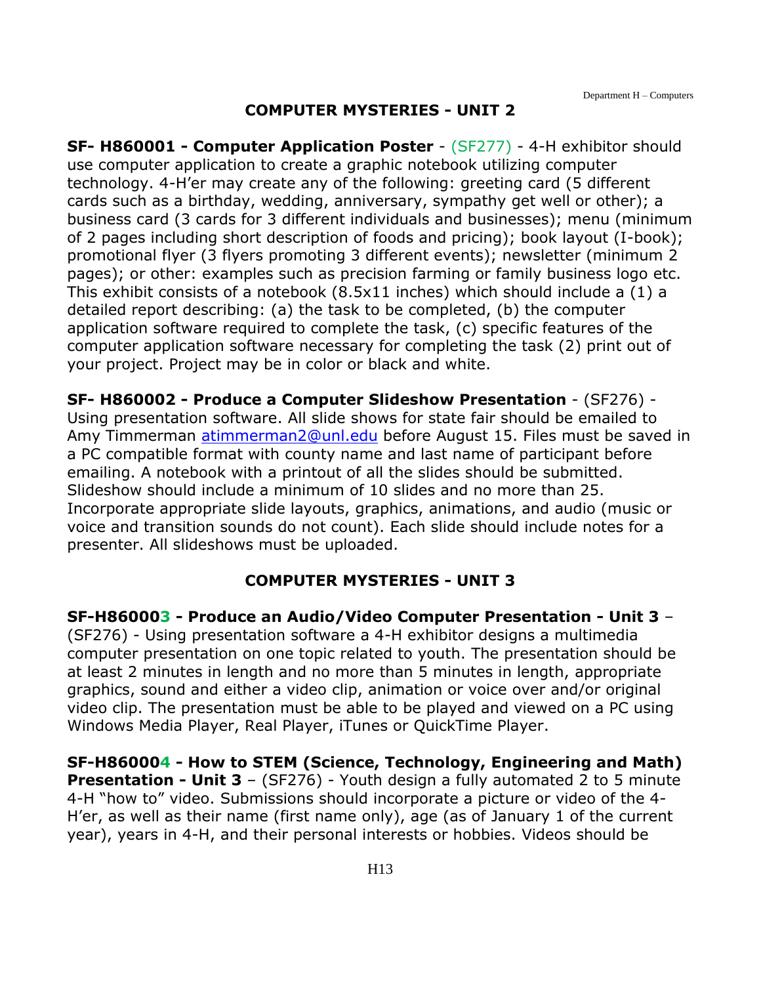#### **COMPUTER MYSTERIES - UNIT 2**

**SF- H860001 - Computer Application Poster** - (SF277) - 4-H exhibitor should use computer application to create a graphic notebook utilizing computer technology. 4-H'er may create any of the following: greeting card (5 different cards such as a birthday, wedding, anniversary, sympathy get well or other); a business card (3 cards for 3 different individuals and businesses); menu (minimum of 2 pages including short description of foods and pricing); book layout (I-book); promotional flyer (3 flyers promoting 3 different events); newsletter (minimum 2 pages); or other: examples such as precision farming or family business logo etc. This exhibit consists of a notebook (8.5x11 inches) which should include a (1) a detailed report describing: (a) the task to be completed, (b) the computer application software required to complete the task, (c) specific features of the computer application software necessary for completing the task (2) print out of your project. Project may be in color or black and white.

**SF- H860002 - Produce a Computer Slideshow Presentation** - (SF276) - Using presentation software. All slide shows for state fair should be emailed to Amy Timmerman [atimmerman2@unl.edu](mailto:atimmerman2@unl.edu) before August 15. Files must be saved in a PC compatible format with county name and last name of participant before emailing. A notebook with a printout of all the slides should be submitted. Slideshow should include a minimum of 10 slides and no more than 25. Incorporate appropriate slide layouts, graphics, animations, and audio (music or voice and transition sounds do not count). Each slide should include notes for a presenter. All slideshows must be uploaded.

#### **COMPUTER MYSTERIES - UNIT 3**

**SF-H860003 - Produce an Audio/Video Computer Presentation - Unit 3** – (SF276) - Using presentation software a 4-H exhibitor designs a multimedia computer presentation on one topic related to youth. The presentation should be at least 2 minutes in length and no more than 5 minutes in length, appropriate graphics, sound and either a video clip, animation or voice over and/or original video clip. The presentation must be able to be played and viewed on a PC using Windows Media Player, Real Player, iTunes or QuickTime Player.

**SF-H860004 - How to STEM (Science, Technology, Engineering and Math) Presentation - Unit 3** – (SF276) - Youth design a fully automated 2 to 5 minute 4-H "how to" video. Submissions should incorporate a picture or video of the 4- H'er, as well as their name (first name only), age (as of January 1 of the current year), years in 4-H, and their personal interests or hobbies. Videos should be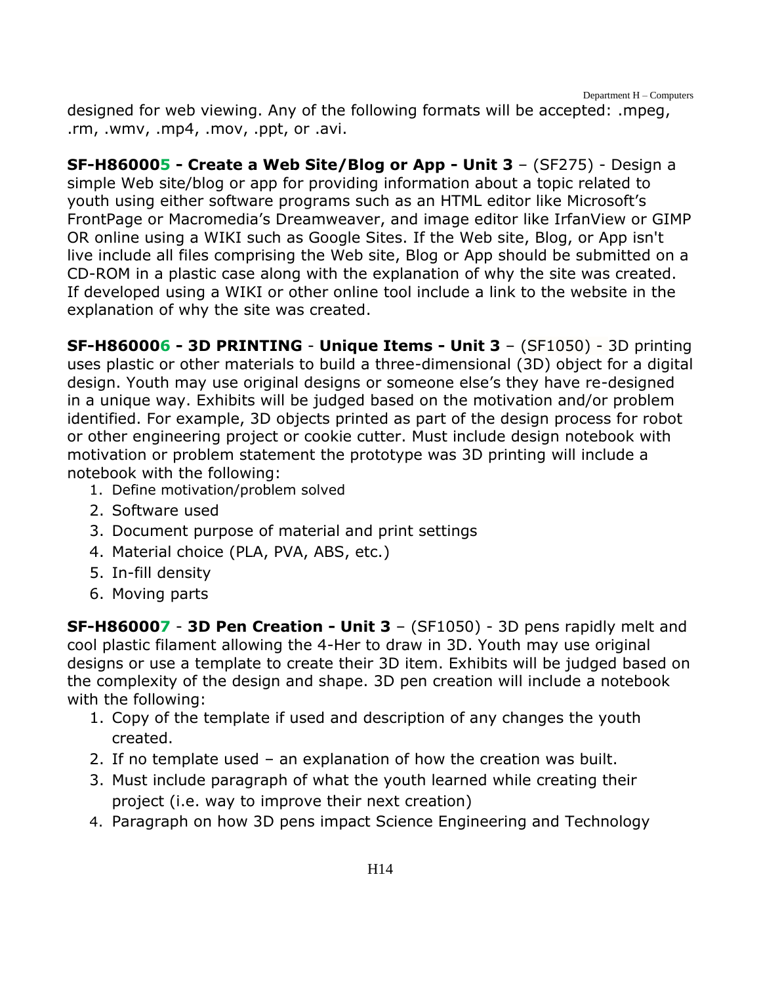designed for web viewing. Any of the following formats will be accepted: .mpeg, .rm, .wmv, .mp4, .mov, .ppt, or .avi.

**SF-H860005 - Create a Web Site/Blog or App - Unit 3** – (SF275) - Design a simple Web site/blog or app for providing information about a topic related to youth using either software programs such as an HTML editor like Microsoft's FrontPage or Macromedia's Dreamweaver, and image editor like IrfanView or GIMP OR online using a WIKI such as Google Sites. If the Web site, Blog, or App isn't live include all files comprising the Web site, Blog or App should be submitted on a CD-ROM in a plastic case along with the explanation of why the site was created. If developed using a WIKI or other online tool include a link to the website in the explanation of why the site was created.

**SF-H860006 - 3D PRINTING** - **Unique Items - Unit 3** – (SF1050) - 3D printing uses plastic or other materials to build a three-dimensional (3D) object for a digital design. Youth may use original designs or someone else's they have re-designed in a unique way. Exhibits will be judged based on the motivation and/or problem identified. For example, 3D objects printed as part of the design process for robot or other engineering project or cookie cutter. Must include design notebook with motivation or problem statement the prototype was 3D printing will include a notebook with the following:

- 1. Define motivation/problem solved
- 2. Software used
- 3. Document purpose of material and print settings
- 4. Material choice (PLA, PVA, ABS, etc.)
- 5. In-fill density
- 6. Moving parts

**SF-H860007** - **3D Pen Creation - Unit 3** – (SF1050) - 3D pens rapidly melt and cool plastic filament allowing the 4-Her to draw in 3D. Youth may use original designs or use a template to create their 3D item. Exhibits will be judged based on the complexity of the design and shape. 3D pen creation will include a notebook with the following:

- 1. Copy of the template if used and description of any changes the youth created.
- 2. If no template used an explanation of how the creation was built.
- 3. Must include paragraph of what the youth learned while creating their project (i.e. way to improve their next creation)
- 4. Paragraph on how 3D pens impact Science Engineering and Technology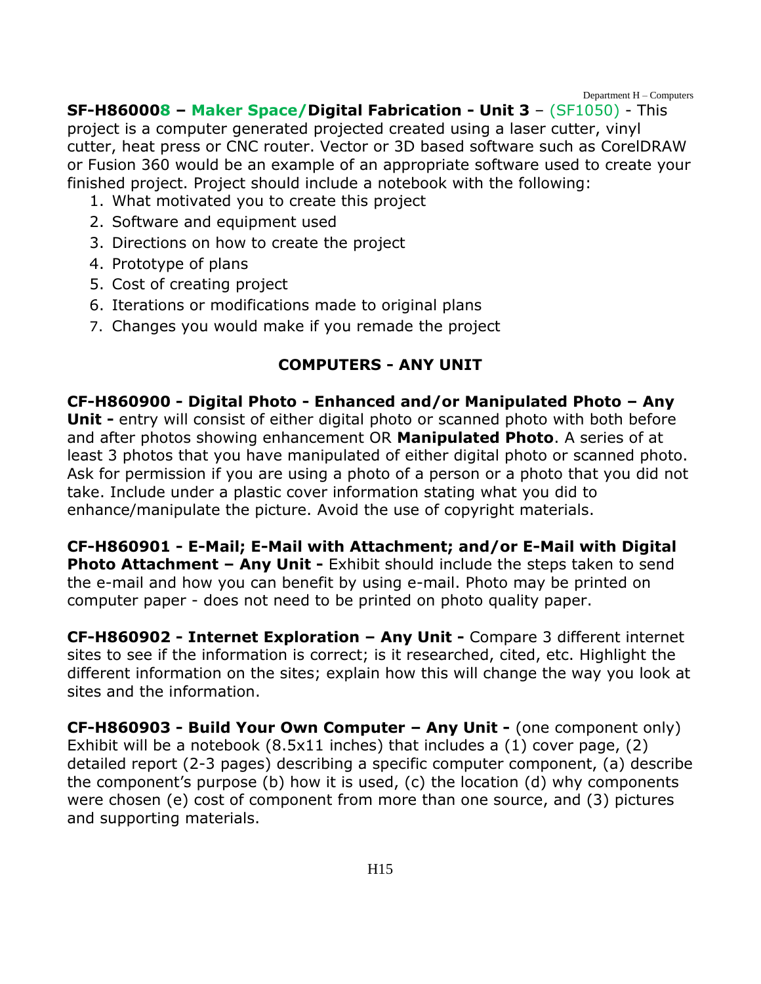Department H – Computers

#### **SF-H860008 – Maker Space/Digital Fabrication - Unit 3** – (SF1050) - This

project is a computer generated projected created using a laser cutter, vinyl cutter, heat press or CNC router. Vector or 3D based software such as CorelDRAW or Fusion 360 would be an example of an appropriate software used to create your finished project. Project should include a notebook with the following:

- 1. What motivated you to create this project
- 2. Software and equipment used
- 3. Directions on how to create the project
- 4. Prototype of plans
- 5. Cost of creating project
- 6. Iterations or modifications made to original plans
- 7. Changes you would make if you remade the project

#### **COMPUTERS - ANY UNIT**

**CF-H860900 - Digital Photo - Enhanced and/or Manipulated Photo – Any Unit -** entry will consist of either digital photo or scanned photo with both before and after photos showing enhancement OR **Manipulated Photo**. A series of at least 3 photos that you have manipulated of either digital photo or scanned photo. Ask for permission if you are using a photo of a person or a photo that you did not take. Include under a plastic cover information stating what you did to enhance/manipulate the picture. Avoid the use of copyright materials.

**CF-H860901 - E-Mail; E-Mail with Attachment; and/or E-Mail with Digital Photo Attachment – Any Unit -** Exhibit should include the steps taken to send the e-mail and how you can benefit by using e-mail. Photo may be printed on computer paper - does not need to be printed on photo quality paper.

**CF-H860902 - Internet Exploration – Any Unit -** Compare 3 different internet sites to see if the information is correct; is it researched, cited, etc. Highlight the different information on the sites; explain how this will change the way you look at sites and the information.

**CF-H860903 - Build Your Own Computer – Any Unit -** (one component only) Exhibit will be a notebook (8.5x11 inches) that includes a (1) cover page, (2) detailed report (2-3 pages) describing a specific computer component, (a) describe the component's purpose (b) how it is used, (c) the location (d) why components were chosen (e) cost of component from more than one source, and (3) pictures and supporting materials.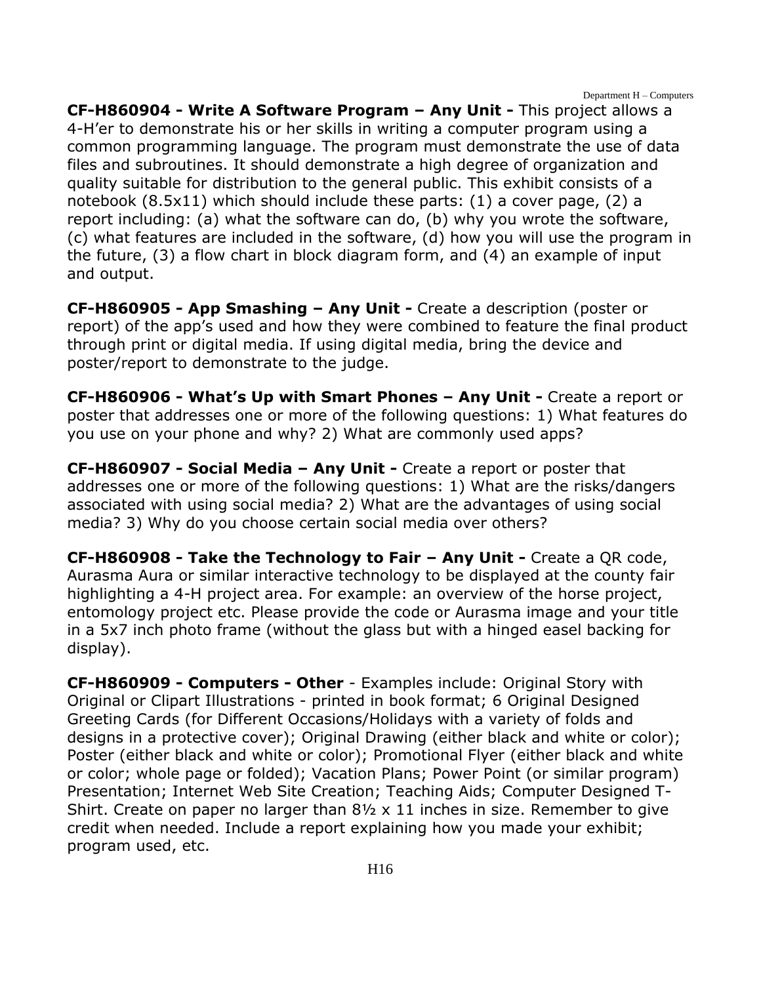Department H – Computers

**CF-H860904 - Write A Software Program – Any Unit -** This project allows a 4-H'er to demonstrate his or her skills in writing a computer program using a common programming language. The program must demonstrate the use of data files and subroutines. It should demonstrate a high degree of organization and quality suitable for distribution to the general public. This exhibit consists of a notebook (8.5x11) which should include these parts: (1) a cover page, (2) a report including: (a) what the software can do, (b) why you wrote the software, (c) what features are included in the software, (d) how you will use the program in the future, (3) a flow chart in block diagram form, and (4) an example of input and output.

**CF-H860905 - App Smashing – Any Unit -** Create a description (poster or report) of the app's used and how they were combined to feature the final product through print or digital media. If using digital media, bring the device and poster/report to demonstrate to the judge.

**CF-H860906 - What's Up with Smart Phones – Any Unit -** Create a report or poster that addresses one or more of the following questions: 1) What features do you use on your phone and why? 2) What are commonly used apps?

**CF-H860907 - Social Media – Any Unit -** Create a report or poster that addresses one or more of the following questions: 1) What are the risks/dangers associated with using social media? 2) What are the advantages of using social media? 3) Why do you choose certain social media over others?

**CF-H860908 - Take the Technology to Fair – Any Unit -** Create a QR code, Aurasma Aura or similar interactive technology to be displayed at the county fair highlighting a 4-H project area. For example: an overview of the horse project, entomology project etc. Please provide the code or Aurasma image and your title in a 5x7 inch photo frame (without the glass but with a hinged easel backing for display).

**CF-H860909 - Computers - Other** - Examples include: Original Story with Original or Clipart Illustrations - printed in book format; 6 Original Designed Greeting Cards (for Different Occasions/Holidays with a variety of folds and designs in a protective cover); Original Drawing (either black and white or color); Poster (either black and white or color); Promotional Flyer (either black and white or color; whole page or folded); Vacation Plans; Power Point (or similar program) Presentation; Internet Web Site Creation; Teaching Aids; Computer Designed T-Shirt. Create on paper no larger than 8½ x 11 inches in size. Remember to give credit when needed. Include a report explaining how you made your exhibit; program used, etc.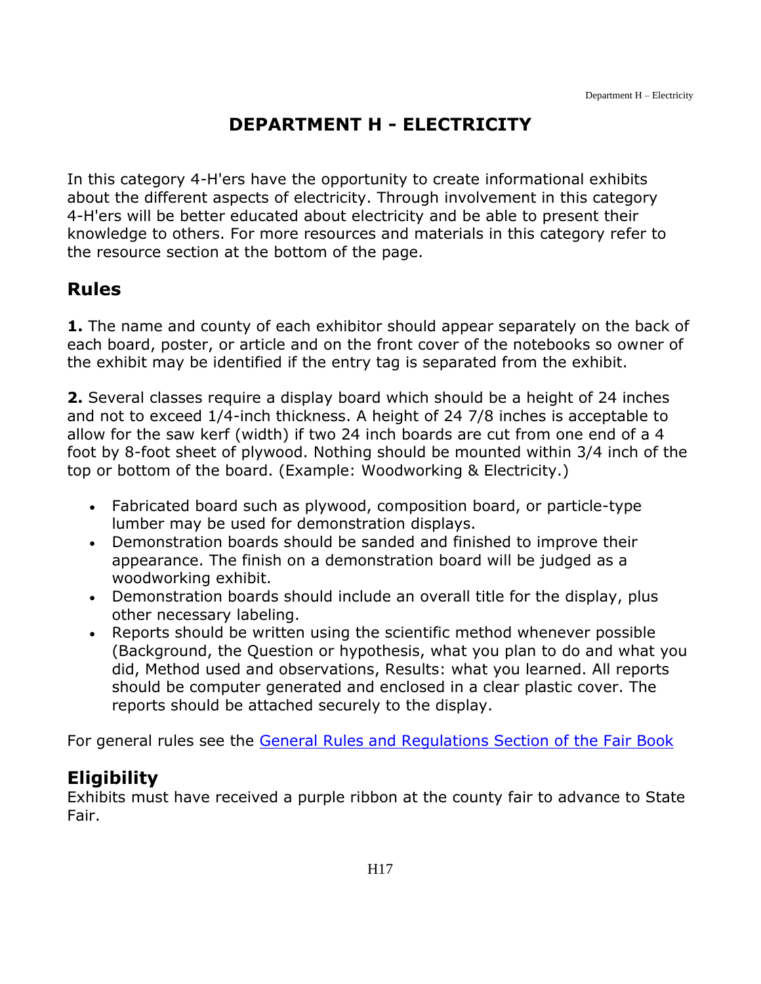# **DEPARTMENT H - ELECTRICITY**

<span id="page-17-0"></span>In this category 4-H'ers have the opportunity to create informational exhibits about the different aspects of electricity. Through involvement in this category 4-H'ers will be better educated about electricity and be able to present their knowledge to others. For more resources and materials in this category refer to the resource section at the bottom of the page.

# **Rules**

**1.** The name and county of each exhibitor should appear separately on the back of each board, poster, or article and on the front cover of the notebooks so owner of the exhibit may be identified if the entry tag is separated from the exhibit.

**2.** Several classes require a display board which should be a height of 24 inches and not to exceed 1/4-inch thickness. A height of 24 7/8 inches is acceptable to allow for the saw kerf (width) if two 24 inch boards are cut from one end of a 4 foot by 8-foot sheet of plywood. Nothing should be mounted within 3/4 inch of the top or bottom of the board. (Example: Woodworking & Electricity.)

- Fabricated board such as plywood, composition board, or particle-type lumber may be used for demonstration displays.
- Demonstration boards should be sanded and finished to improve their appearance. The finish on a demonstration board will be judged as a woodworking exhibit.
- Demonstration boards should include an overall title for the display, plus other necessary labeling.
- Reports should be written using the scientific method whenever possible (Background, the Question or hypothesis, what you plan to do and what you did, Method used and observations, Results: what you learned. All reports should be computer generated and enclosed in a clear plastic cover. The reports should be attached securely to the display.

For general rules see the General [Rules and Regulations Section of the Fair Book](https://unl.box.com/s/e7w1cmzwit0us89x96k1h2gdrs51dsy2)

# **Eligibility**

Exhibits must have received a purple ribbon at the county fair to advance to State Fair.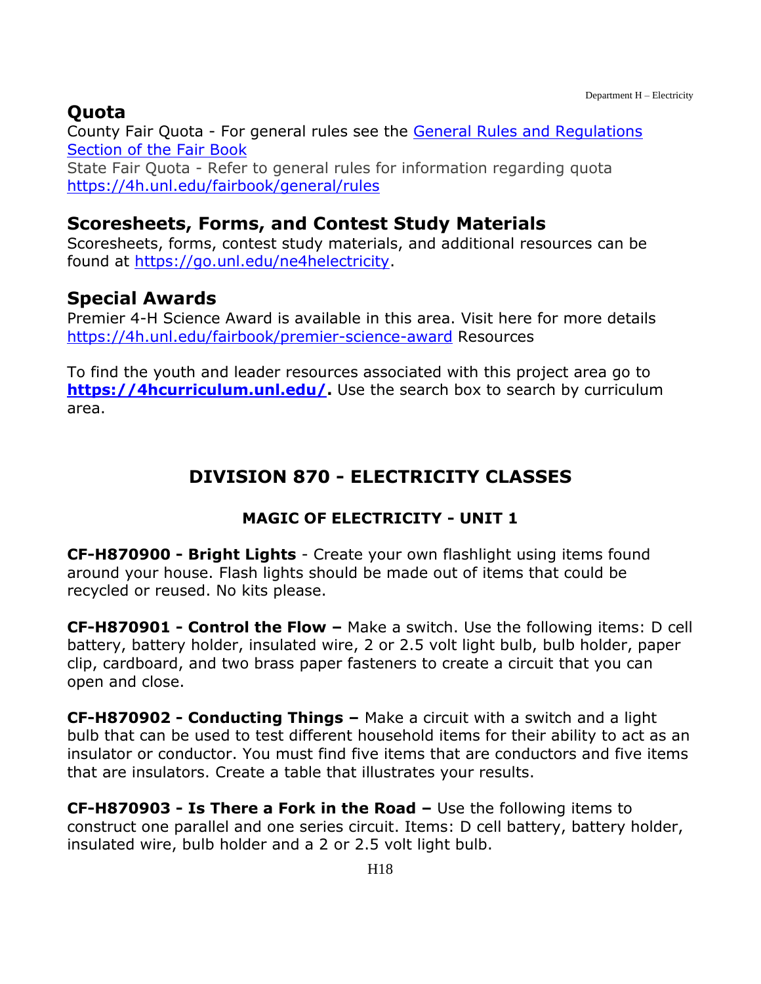# **Quota**

County Fair Quota - For general rules see the [General Rules and Regulations](https://unl.box.com/s/e7w1cmzwit0us89x96k1h2gdrs51dsy2)  [Section of the Fair Book](https://unl.box.com/s/e7w1cmzwit0us89x96k1h2gdrs51dsy2) State Fair Quota - Refer to general rules for information regarding quota <https://4h.unl.edu/fairbook/general/rules>

### **Scoresheets, Forms, and Contest Study Materials**

Scoresheets, forms, contest study materials, and additional resources can be found at [https://go.unl.edu/ne4helectricity.](https://go.unl.edu/ne4helectricity)

# **Special Awards**

Premier 4-H Science Award is available in this area. Visit here for more details <https://4h.unl.edu/fairbook/premier-science-award> Resources

<span id="page-18-0"></span>To find the youth and leader resources associated with this project area go to **[https://4hcurriculum.unl.edu/.](https://4hcurriculum.unl.edu/)** Use the search box to search by curriculum area.

# **DIVISION 870 - ELECTRICITY CLASSES**

### **MAGIC OF ELECTRICITY - UNIT 1**

**CF-H870900 - Bright Lights** - Create your own flashlight using items found around your house. Flash lights should be made out of items that could be recycled or reused. No kits please.

**CF-H870901 - Control the Flow –** Make a switch. Use the following items: D cell battery, battery holder, insulated wire, 2 or 2.5 volt light bulb, bulb holder, paper clip, cardboard, and two brass paper fasteners to create a circuit that you can open and close.

**CF-H870902 - Conducting Things –** Make a circuit with a switch and a light bulb that can be used to test different household items for their ability to act as an insulator or conductor. You must find five items that are conductors and five items that are insulators. Create a table that illustrates your results.

**CF-H870903 - Is There a Fork in the Road –** Use the following items to construct one parallel and one series circuit. Items: D cell battery, battery holder, insulated wire, bulb holder and a 2 or 2.5 volt light bulb.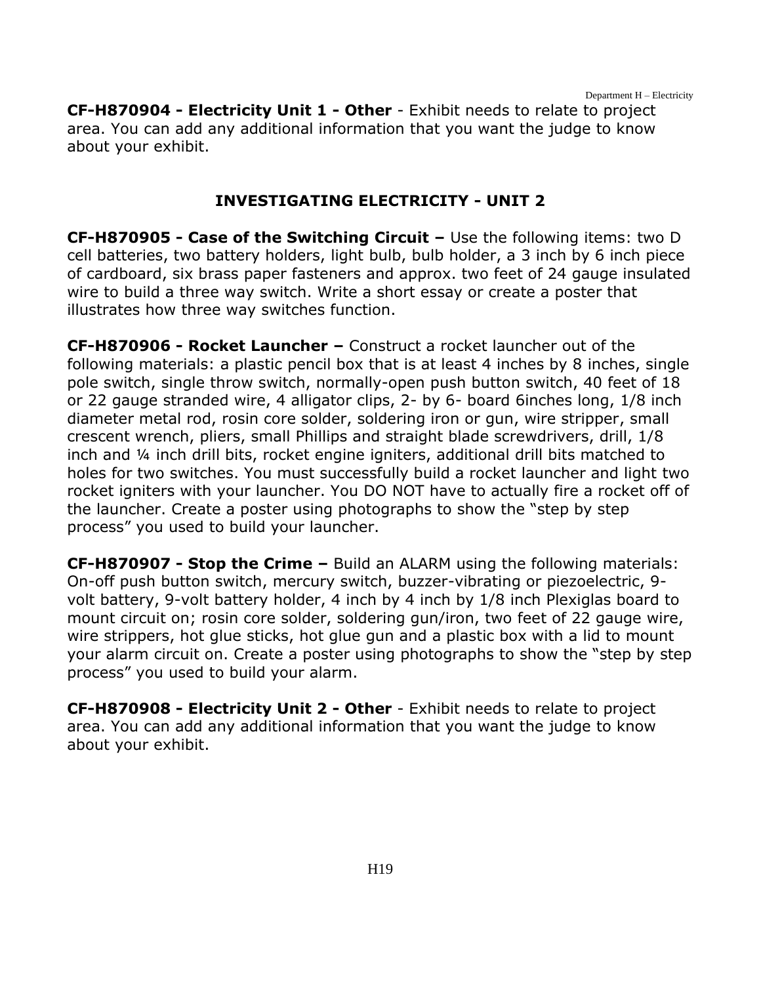Department H – Electricity

**CF-H870904 - Electricity Unit 1 - Other** - Exhibit needs to relate to project area. You can add any additional information that you want the judge to know about your exhibit.

#### **INVESTIGATING ELECTRICITY - UNIT 2**

**CF-H870905 - Case of the Switching Circuit –** Use the following items: two D cell batteries, two battery holders, light bulb, bulb holder, a 3 inch by 6 inch piece of cardboard, six brass paper fasteners and approx. two feet of 24 gauge insulated wire to build a three way switch. Write a short essay or create a poster that illustrates how three way switches function.

**CF-H870906 - Rocket Launcher –** Construct a rocket launcher out of the following materials: a plastic pencil box that is at least 4 inches by 8 inches, single pole switch, single throw switch, normally-open push button switch, 40 feet of 18 or 22 gauge stranded wire, 4 alligator clips, 2- by 6- board 6inches long, 1/8 inch diameter metal rod, rosin core solder, soldering iron or gun, wire stripper, small crescent wrench, pliers, small Phillips and straight blade screwdrivers, drill, 1/8 inch and ¼ inch drill bits, rocket engine igniters, additional drill bits matched to holes for two switches. You must successfully build a rocket launcher and light two rocket igniters with your launcher. You DO NOT have to actually fire a rocket off of the launcher. Create a poster using photographs to show the "step by step process" you used to build your launcher.

**CF-H870907 - Stop the Crime –** Build an ALARM using the following materials: On-off push button switch, mercury switch, buzzer-vibrating or piezoelectric, 9 volt battery, 9-volt battery holder, 4 inch by 4 inch by 1/8 inch Plexiglas board to mount circuit on; rosin core solder, soldering gun/iron, two feet of 22 gauge wire, wire strippers, hot glue sticks, hot glue gun and a plastic box with a lid to mount your alarm circuit on. Create a poster using photographs to show the "step by step process" you used to build your alarm.

**CF-H870908 - Electricity Unit 2 - Other** - Exhibit needs to relate to project area. You can add any additional information that you want the judge to know about your exhibit.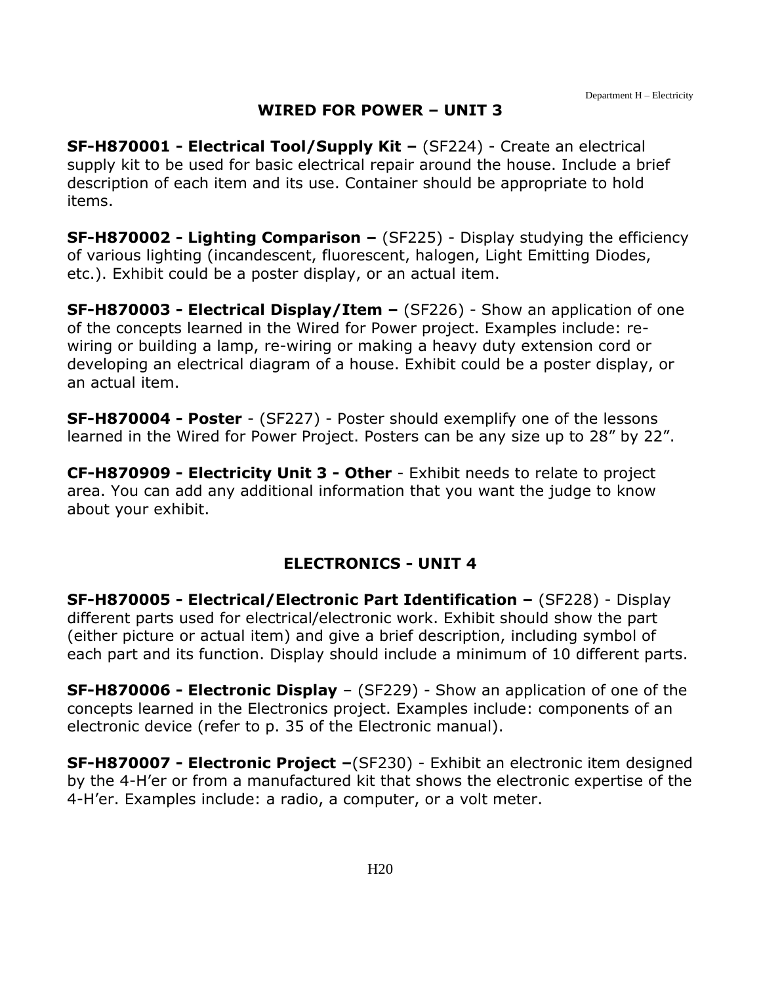#### **WIRED FOR POWER – UNIT 3**

**SF-H870001 - Electrical Tool/Supply Kit –** (SF224) - Create an electrical supply kit to be used for basic electrical repair around the house. Include a brief description of each item and its use. Container should be appropriate to hold items.

**SF-H870002 - Lighting Comparison –** (SF225) - Display studying the efficiency of various lighting (incandescent, fluorescent, halogen, Light Emitting Diodes, etc.). Exhibit could be a poster display, or an actual item.

**SF-H870003 - Electrical Display/Item –** (SF226) - Show an application of one of the concepts learned in the Wired for Power project. Examples include: rewiring or building a lamp, re-wiring or making a heavy duty extension cord or developing an electrical diagram of a house. Exhibit could be a poster display, or an actual item.

**SF-H870004 - Poster** - (SF227) - Poster should exemplify one of the lessons learned in the Wired for Power Project. Posters can be any size up to 28" by 22".

**CF-H870909 - Electricity Unit 3 - Other** - Exhibit needs to relate to project area. You can add any additional information that you want the judge to know about your exhibit.

#### **ELECTRONICS - UNIT 4**

**SF-H870005 - Electrical/Electronic Part Identification –** (SF228) - Display different parts used for electrical/electronic work. Exhibit should show the part (either picture or actual item) and give a brief description, including symbol of each part and its function. Display should include a minimum of 10 different parts.

**SF-H870006 - Electronic Display** – (SF229) - Show an application of one of the concepts learned in the Electronics project. Examples include: components of an electronic device (refer to p. 35 of the Electronic manual).

**SF-H870007 - Electronic Project –**(SF230) - Exhibit an electronic item designed by the 4-H'er or from a manufactured kit that shows the electronic expertise of the 4-H'er. Examples include: a radio, a computer, or a volt meter.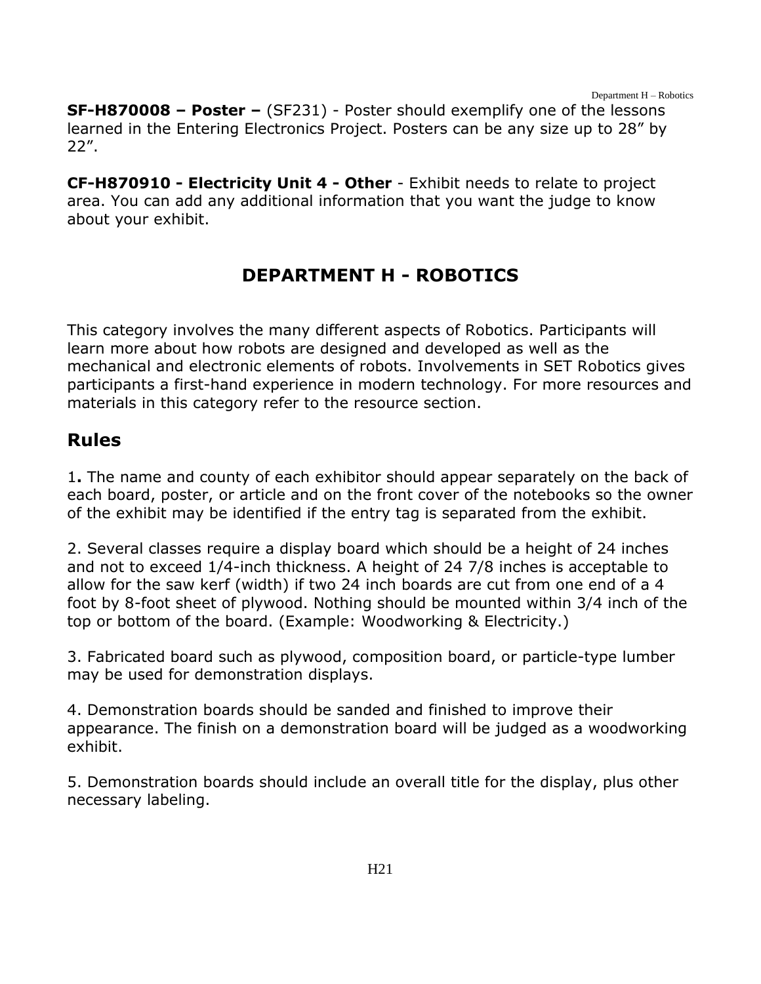Department H – Robotics

**SF-H870008 – Poster –** (SF231) - Poster should exemplify one of the lessons learned in the Entering Electronics Project. Posters can be any size up to 28" by 22".

**CF-H870910 - Electricity Unit 4 - Other** - Exhibit needs to relate to project area. You can add any additional information that you want the judge to know about your exhibit.

# **DEPARTMENT H - ROBOTICS**

<span id="page-21-0"></span>This category involves the many different aspects of Robotics. Participants will learn more about how robots are designed and developed as well as the mechanical and electronic elements of robots. Involvements in SET Robotics gives participants a first-hand experience in modern technology. For more resources and materials in this category refer to the resource section.

#### **Rules**

1**.** The name and county of each exhibitor should appear separately on the back of each board, poster, or article and on the front cover of the notebooks so the owner of the exhibit may be identified if the entry tag is separated from the exhibit.

2. Several classes require a display board which should be a height of 24 inches and not to exceed 1/4-inch thickness. A height of 24 7/8 inches is acceptable to allow for the saw kerf (width) if two 24 inch boards are cut from one end of a 4 foot by 8-foot sheet of plywood. Nothing should be mounted within 3/4 inch of the top or bottom of the board. (Example: Woodworking & Electricity.)

3. Fabricated board such as plywood, composition board, or particle-type lumber may be used for demonstration displays.

4. Demonstration boards should be sanded and finished to improve their appearance. The finish on a demonstration board will be judged as a woodworking exhibit.

5. Demonstration boards should include an overall title for the display, plus other necessary labeling.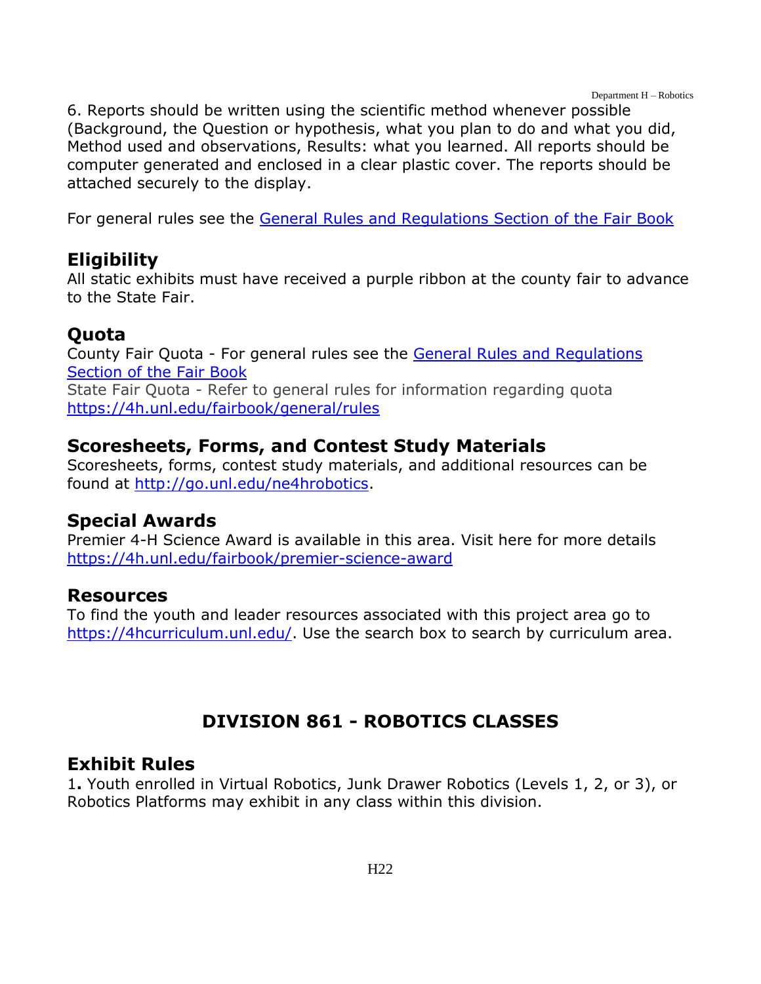Department H – Robotics

6. Reports should be written using the scientific method whenever possible (Background, the Question or hypothesis, what you plan to do and what you did, Method used and observations, Results: what you learned. All reports should be computer generated and enclosed in a clear plastic cover. The reports should be attached securely to the display.

For general rules see the [General Rules and Regulations Section of the Fair Book](https://unl.box.com/s/e7w1cmzwit0us89x96k1h2gdrs51dsy2)

# **Eligibility**

All static exhibits must have received a purple ribbon at the county fair to advance to the State Fair.

# **Quota**

County Fair Quota - For general rules see the [General Rules and Regulations](https://unl.box.com/s/e7w1cmzwit0us89x96k1h2gdrs51dsy2)  [Section of the Fair Book](https://unl.box.com/s/e7w1cmzwit0us89x96k1h2gdrs51dsy2) State Fair Quota - Refer to general rules for information regarding quota <https://4h.unl.edu/fairbook/general/rules>

# **Scoresheets, Forms, and Contest Study Materials**

Scoresheets, forms, contest study materials, and additional resources can be found at [http://go.unl.edu/ne4hrobotics.](http://go.unl.edu/ne4hrobotics)

# **Special Awards**

Premier 4-H Science Award is available in this area. Visit here for more details <https://4h.unl.edu/fairbook/premier-science-award>

### **Resources**

To find the youth and leader resources associated with this project area go to [https://4hcurriculum.unl.edu/.](https://4hcurriculum.unl.edu/) Use the search box to search by curriculum area.

# **DIVISION 861 - ROBOTICS CLASSES**

# <span id="page-22-0"></span>**Exhibit Rules**

1**.** Youth enrolled in Virtual Robotics, Junk Drawer Robotics (Levels 1, 2, or 3), or Robotics Platforms may exhibit in any class within this division.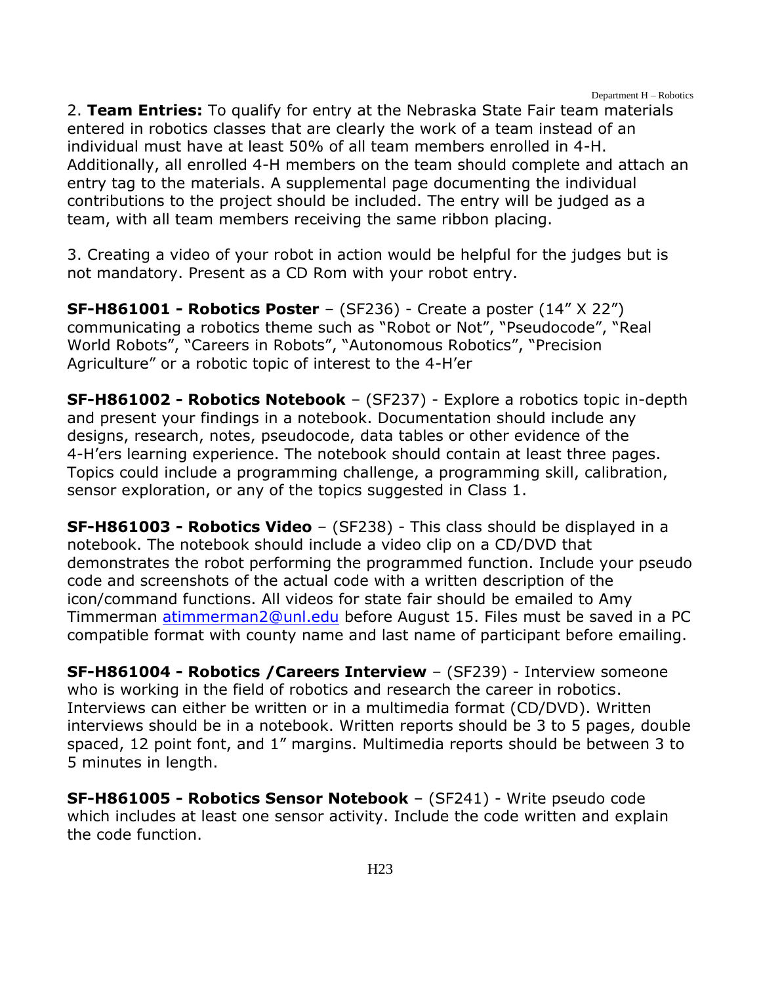2. **Team Entries:** To qualify for entry at the Nebraska State Fair team materials entered in robotics classes that are clearly the work of a team instead of an individual must have at least 50% of all team members enrolled in 4-H. Additionally, all enrolled 4-H members on the team should complete and attach an entry tag to the materials. A supplemental page documenting the individual contributions to the project should be included. The entry will be judged as a team, with all team members receiving the same ribbon placing.

3. Creating a video of your robot in action would be helpful for the judges but is not mandatory. Present as a CD Rom with your robot entry.

**SF-H861001 - Robotics Poster** – (SF236) - Create a poster (14" X 22") communicating a robotics theme such as "Robot or Not", "Pseudocode", "Real World Robots", "Careers in Robots", "Autonomous Robotics", "Precision Agriculture" or a robotic topic of interest to the 4-H'er

**SF-H861002 - Robotics Notebook** – (SF237) - Explore a robotics topic in-depth and present your findings in a notebook. Documentation should include any designs, research, notes, pseudocode, data tables or other evidence of the 4-H'ers learning experience. The notebook should contain at least three pages. Topics could include a programming challenge, a programming skill, calibration, sensor exploration, or any of the topics suggested in Class 1.

**SF-H861003 - Robotics Video** – (SF238) - This class should be displayed in a notebook. The notebook should include a video clip on a CD/DVD that demonstrates the robot performing the programmed function. Include your pseudo code and screenshots of the actual code with a written description of the icon/command functions. All videos for state fair should be emailed to Amy Timmerman [atimmerman2@unl.edu](mailto:atimmerman2@unl.edu) before August 15. Files must be saved in a PC compatible format with county name and last name of participant before emailing.

**SF-H861004 - Robotics /Careers Interview** – (SF239) - Interview someone who is working in the field of robotics and research the career in robotics. Interviews can either be written or in a multimedia format (CD/DVD). Written interviews should be in a notebook. Written reports should be 3 to 5 pages, double spaced, 12 point font, and 1" margins. Multimedia reports should be between 3 to 5 minutes in length.

**SF-H861005 - Robotics Sensor Notebook** – (SF241) - Write pseudo code which includes at least one sensor activity. Include the code written and explain the code function.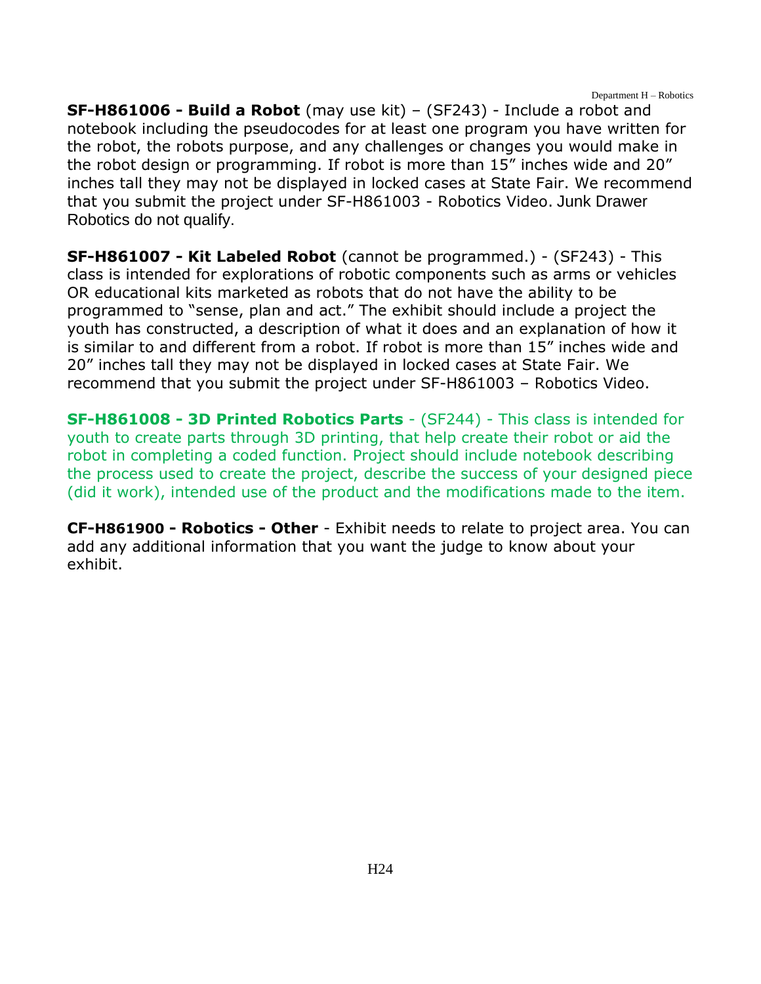Department H – Robotics

**SF-H861006 - Build a Robot** (may use kit) – (SF243) - Include a robot and notebook including the pseudocodes for at least one program you have written for the robot, the robots purpose, and any challenges or changes you would make in the robot design or programming. If robot is more than 15" inches wide and 20" inches tall they may not be displayed in locked cases at State Fair. We recommend that you submit the project under SF-H861003 - Robotics Video. Junk Drawer Robotics do not qualify.

**SF-H861007 - Kit Labeled Robot** (cannot be programmed.) - (SF243) - This class is intended for explorations of robotic components such as arms or vehicles OR educational kits marketed as robots that do not have the ability to be programmed to "sense, plan and act." The exhibit should include a project the youth has constructed, a description of what it does and an explanation of how it is similar to and different from a robot. If robot is more than 15" inches wide and 20" inches tall they may not be displayed in locked cases at State Fair. We recommend that you submit the project under SF-H861003 – Robotics Video.

**SF-H861008 - 3D Printed Robotics Parts** - (SF244) - This class is intended for youth to create parts through 3D printing, that help create their robot or aid the robot in completing a coded function. Project should include notebook describing the process used to create the project, describe the success of your designed piece (did it work), intended use of the product and the modifications made to the item.

**CF-H861900 - Robotics - Other** - Exhibit needs to relate to project area. You can add any additional information that you want the judge to know about your exhibit.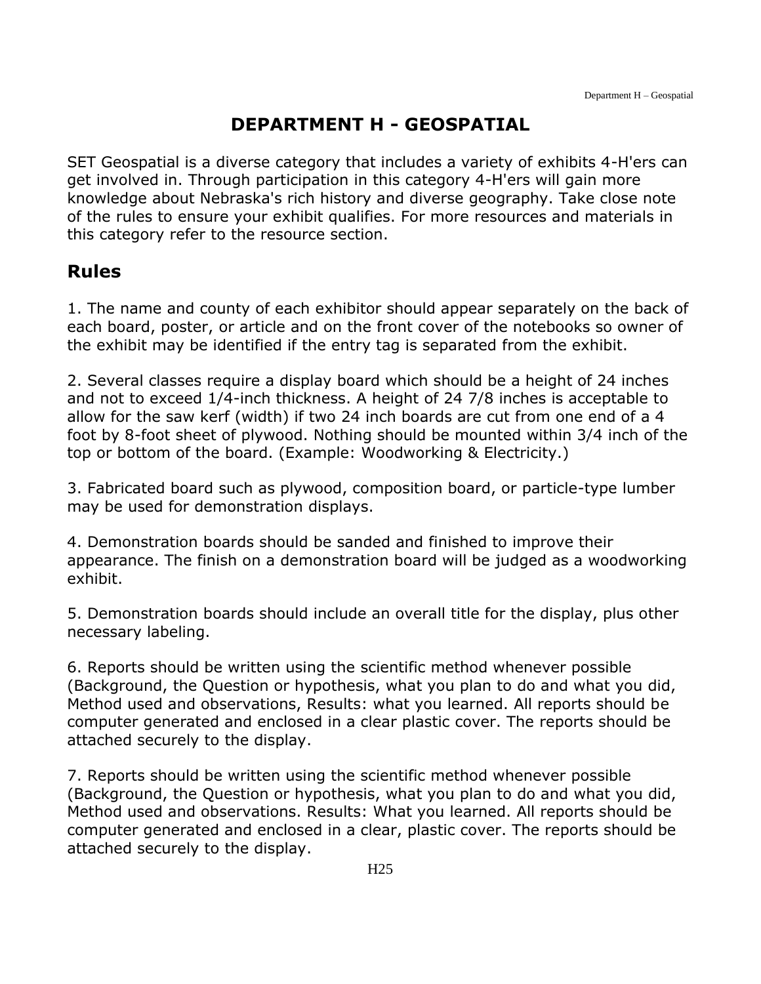# **DEPARTMENT H - GEOSPATIAL**

<span id="page-25-0"></span>SET Geospatial is a diverse category that includes a variety of exhibits 4-H'ers can get involved in. Through participation in this category 4-H'ers will gain more knowledge about Nebraska's rich history and diverse geography. Take close note of the rules to ensure your exhibit qualifies. For more resources and materials in this category refer to the resource section.

### **Rules**

1. The name and county of each exhibitor should appear separately on the back of each board, poster, or article and on the front cover of the notebooks so owner of the exhibit may be identified if the entry tag is separated from the exhibit.

2. Several classes require a display board which should be a height of 24 inches and not to exceed 1/4-inch thickness. A height of 24 7/8 inches is acceptable to allow for the saw kerf (width) if two 24 inch boards are cut from one end of a 4 foot by 8-foot sheet of plywood. Nothing should be mounted within 3/4 inch of the top or bottom of the board. (Example: Woodworking & Electricity.)

3. Fabricated board such as plywood, composition board, or particle-type lumber may be used for demonstration displays.

4. Demonstration boards should be sanded and finished to improve their appearance. The finish on a demonstration board will be judged as a woodworking exhibit.

5. Demonstration boards should include an overall title for the display, plus other necessary labeling.

6. Reports should be written using the scientific method whenever possible (Background, the Question or hypothesis, what you plan to do and what you did, Method used and observations, Results: what you learned. All reports should be computer generated and enclosed in a clear plastic cover. The reports should be attached securely to the display.

7. Reports should be written using the scientific method whenever possible (Background, the Question or hypothesis, what you plan to do and what you did, Method used and observations. Results: What you learned. All reports should be computer generated and enclosed in a clear, plastic cover. The reports should be attached securely to the display.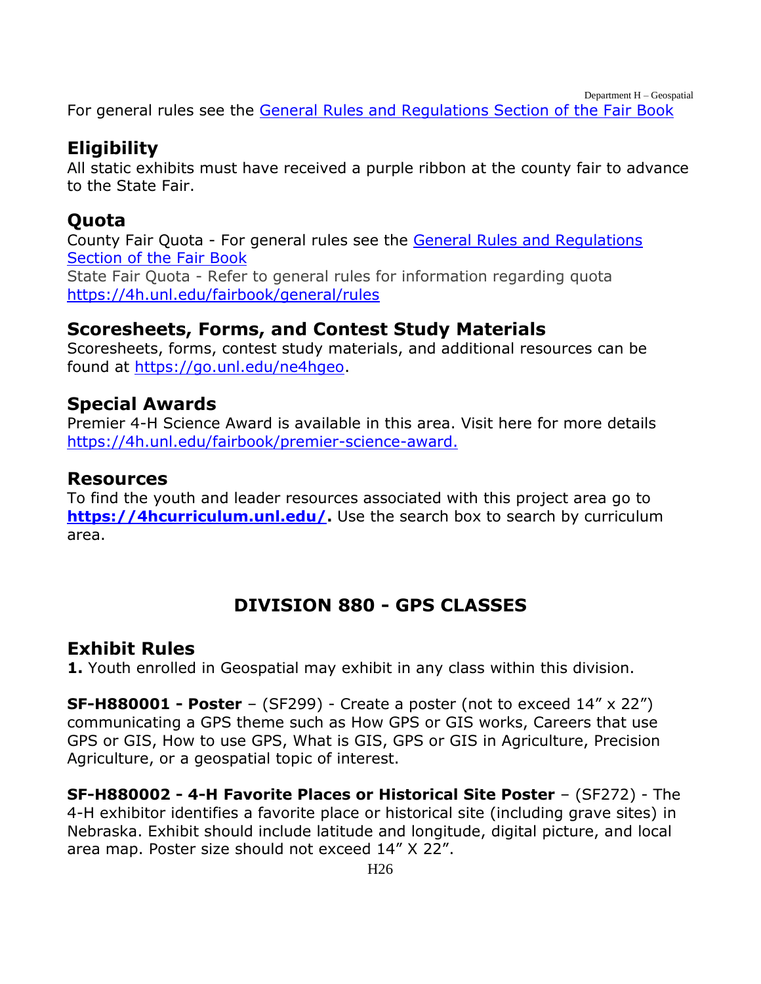Department H – Geospatial

For general rules see the [General Rules and Regulations Section of the Fair Book](https://unl.box.com/s/e7w1cmzwit0us89x96k1h2gdrs51dsy2)

### **Eligibility**

All static exhibits must have received a purple ribbon at the county fair to advance to the State Fair.

# **Quota**

County Fair Quota - For general rules see the [General Rules and Regulations](https://unl.box.com/s/e7w1cmzwit0us89x96k1h2gdrs51dsy2)  [Section of the Fair Book](https://unl.box.com/s/e7w1cmzwit0us89x96k1h2gdrs51dsy2) State Fair Quota - Refer to general rules for information regarding quota <https://4h.unl.edu/fairbook/general/rules>

#### **Scoresheets, Forms, and Contest Study Materials**

Scoresheets, forms, contest study materials, and additional resources can be found at [https://go.unl.edu/ne4hgeo.](https://go.unl.edu/ne4hgeo)

# **Special Awards**

Premier 4-H Science Award is available in this area. Visit here for more details [https://4h.unl.edu/fairbook/premier-science-award.](https://4h.unl.edu/fairbook/premier-science-award)

#### **Resources**

To find the youth and leader resources associated with this project area go to **[https://4hcurriculum.unl.edu/.](https://4hcurriculum.unl.edu/)** Use the search box to search by curriculum area.

# **DIVISION 880 - GPS CLASSES**

### <span id="page-26-0"></span>**Exhibit Rules**

**1.** Youth enrolled in Geospatial may exhibit in any class within this division.

**SF-H880001 - Poster** – (SF299) - Create a poster (not to exceed 14" x 22") communicating a GPS theme such as How GPS or GIS works, Careers that use GPS or GIS, How to use GPS, What is GIS, GPS or GIS in Agriculture, Precision Agriculture, or a geospatial topic of interest.

**SF-H880002 - 4-H Favorite Places or Historical Site Poster** – (SF272) - The 4-H exhibitor identifies a favorite place or historical site (including grave sites) in Nebraska. Exhibit should include latitude and longitude, digital picture, and local area map. Poster size should not exceed 14" X 22".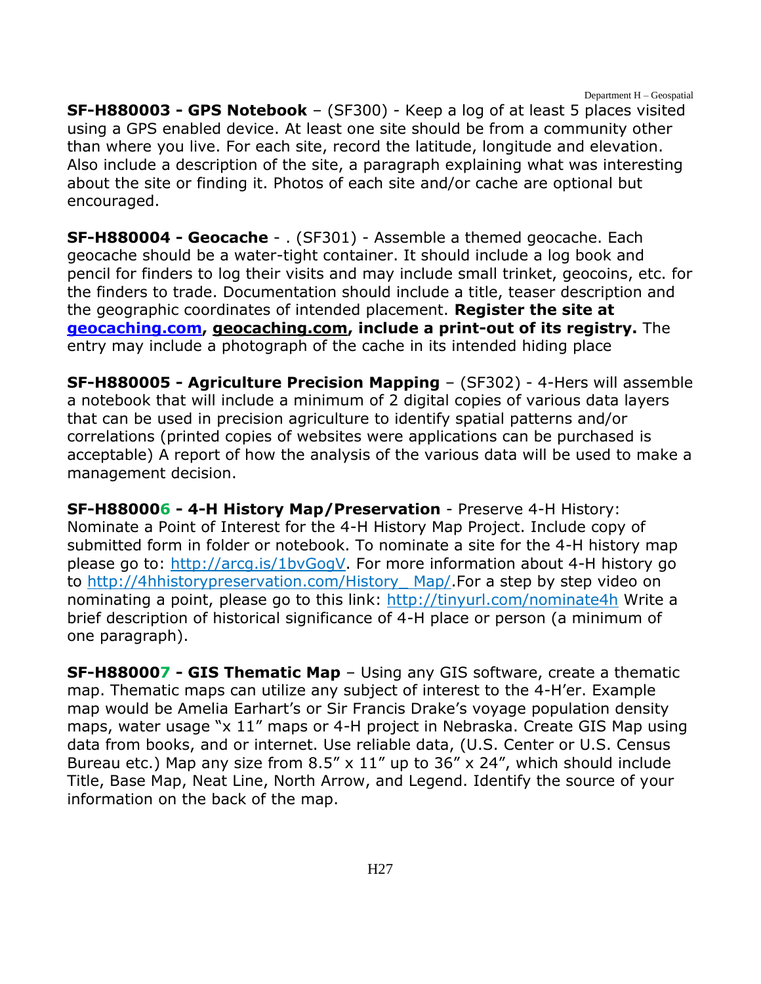Department H – Geospatial

**SF-H880003 - GPS Notebook** – (SF300) - Keep a log of at least 5 places visited using a GPS enabled device. At least one site should be from a community other than where you live. For each site, record the latitude, longitude and elevation. Also include a description of the site, a paragraph explaining what was interesting about the site or finding it. Photos of each site and/or cache are optional but encouraged.

**SF-H880004 - Geocache** - . (SF301) - Assemble a themed geocache. Each geocache should be a water-tight container. It should include a log book and pencil for finders to log their visits and may include small trinket, geocoins, etc. for the finders to trade. Documentation should include a title, teaser description and the geographic coordinates of intended placement. **Register the site at [geocaching.com,](http://www.geocashing.com/) [geocaching.com,](http://www.geocaching.com/) include a print-out of its registry.** The entry may include a photograph of the cache in its intended hiding place

**SF-H880005 - Agriculture Precision Mapping** – (SF302) - 4-Hers will assemble a notebook that will include a minimum of 2 digital copies of various data layers that can be used in precision agriculture to identify spatial patterns and/or correlations (printed copies of websites were applications can be purchased is acceptable) A report of how the analysis of the various data will be used to make a management decision.

**SF-H880006 - 4-H History Map/Preservation** - Preserve 4-H History: Nominate a Point of Interest for the 4-H History Map Project. Include copy of submitted form in folder or notebook. To nominate a site for the 4-H history map please go to: [http://arcg.is/1bvGogV.](http://arcg.is/1bvGogV) For more information about 4-H history go to [http://4hhistorypreservation.com/History\\_ Map/.](http://4hhistorypreservation.com/History_%20Map/)For a step by step video on nominating a point, please go to this link:<http://tinyurl.com/nominate4h> Write a brief description of historical significance of 4-H place or person (a minimum of one paragraph).

**SF-H880007 - GIS Thematic Map** – Using any GIS software, create a thematic map. Thematic maps can utilize any subject of interest to the 4-H'er. Example map would be Amelia Earhart's or Sir Francis Drake's voyage population density maps, water usage "x 11" maps or 4-H project in Nebraska. Create GIS Map using data from books, and or internet. Use reliable data, (U.S. Center or U.S. Census Bureau etc.) Map any size from  $8.5'' \times 11''$  up to 36" x 24", which should include Title, Base Map, Neat Line, North Arrow, and Legend. Identify the source of your information on the back of the map.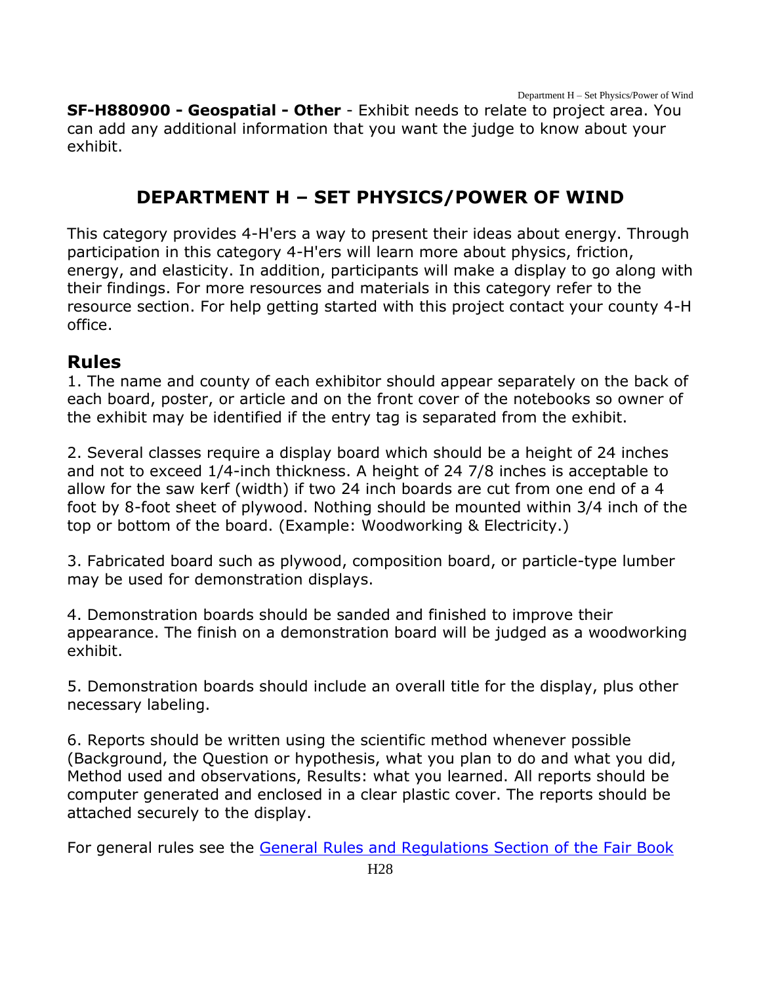Department H – Set Physics/Power of Wind

**SF-H880900 - Geospatial - Other** - Exhibit needs to relate to project area. You can add any additional information that you want the judge to know about your exhibit.

# **DEPARTMENT H – SET PHYSICS/POWER OF WIND**

<span id="page-28-0"></span>This category provides 4-H'ers a way to present their ideas about energy. Through participation in this category 4-H'ers will learn more about physics, friction, energy, and elasticity. In addition, participants will make a display to go along with their findings. For more resources and materials in this category refer to the resource section. For help getting started with this project contact your county 4-H office.

### **Rules**

1. The name and county of each exhibitor should appear separately on the back of each board, poster, or article and on the front cover of the notebooks so owner of the exhibit may be identified if the entry tag is separated from the exhibit.

2. Several classes require a display board which should be a height of 24 inches and not to exceed 1/4-inch thickness. A height of 24 7/8 inches is acceptable to allow for the saw kerf (width) if two 24 inch boards are cut from one end of a 4 foot by 8-foot sheet of plywood. Nothing should be mounted within 3/4 inch of the top or bottom of the board. (Example: Woodworking & Electricity.)

3. Fabricated board such as plywood, composition board, or particle-type lumber may be used for demonstration displays.

4. Demonstration boards should be sanded and finished to improve their appearance. The finish on a demonstration board will be judged as a woodworking exhibit.

5. Demonstration boards should include an overall title for the display, plus other necessary labeling.

6. Reports should be written using the scientific method whenever possible (Background, the Question or hypothesis, what you plan to do and what you did, Method used and observations, Results: what you learned. All reports should be computer generated and enclosed in a clear plastic cover. The reports should be attached securely to the display.

For general rules see the [General Rules and Regulations Section of the Fair Book](https://unl.box.com/s/e7w1cmzwit0us89x96k1h2gdrs51dsy2)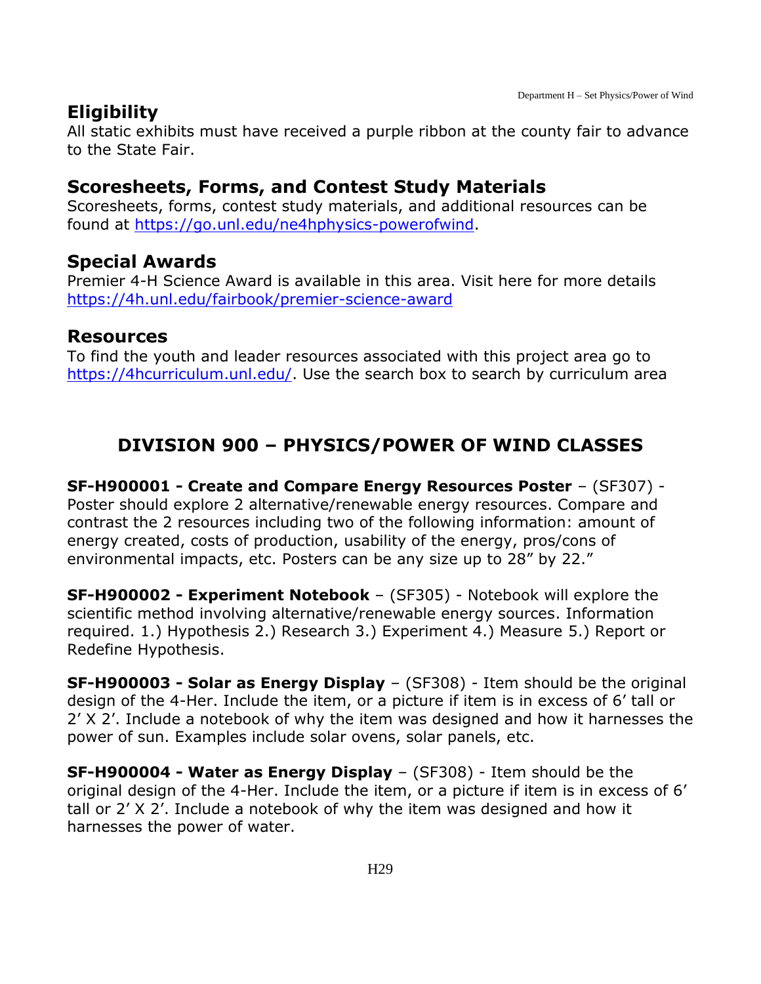### **Eligibility**

All static exhibits must have received a purple ribbon at the county fair to advance to the State Fair.

#### **Scoresheets, Forms, and Contest Study Materials**

Scoresheets, forms, contest study materials, and additional resources can be found at [https://go.unl.edu/ne4hphysics-powerofwind.](https://go.unl.edu/ne4hphysics-powerofwind)

### **Special Awards**

Premier 4-H Science Award is available in this area. Visit here for more details <https://4h.unl.edu/fairbook/premier-science-award>

#### **Resources**

To find the youth and leader resources associated with this project area go to [https://4hcurriculum.unl.edu/.](https://4hcurriculum.unl.edu/) Use the search box to search by curriculum area

# <span id="page-29-0"></span>**DIVISION 900 – PHYSICS/POWER OF WIND CLASSES**

**SF-H900001 - Create and Compare Energy Resources Poster** – (SF307) - Poster should explore 2 alternative/renewable energy resources. Compare and contrast the 2 resources including two of the following information: amount of energy created, costs of production, usability of the energy, pros/cons of environmental impacts, etc. Posters can be any size up to 28" by 22."

**SF-H900002 - Experiment Notebook** – (SF305) - Notebook will explore the scientific method involving alternative/renewable energy sources. Information required. 1.) Hypothesis 2.) Research 3.) Experiment 4.) Measure 5.) Report or Redefine Hypothesis.

**SF-H900003 - Solar as Energy Display** – (SF308) - Item should be the original design of the 4-Her. Include the item, or a picture if item is in excess of 6' tall or 2' X 2'. Include a notebook of why the item was designed and how it harnesses the power of sun. Examples include solar ovens, solar panels, etc.

**SF-H900004 - Water as Energy Display** – (SF308) - Item should be the original design of the 4-Her. Include the item, or a picture if item is in excess of 6' tall or 2' X 2'. Include a notebook of why the item was designed and how it harnesses the power of water.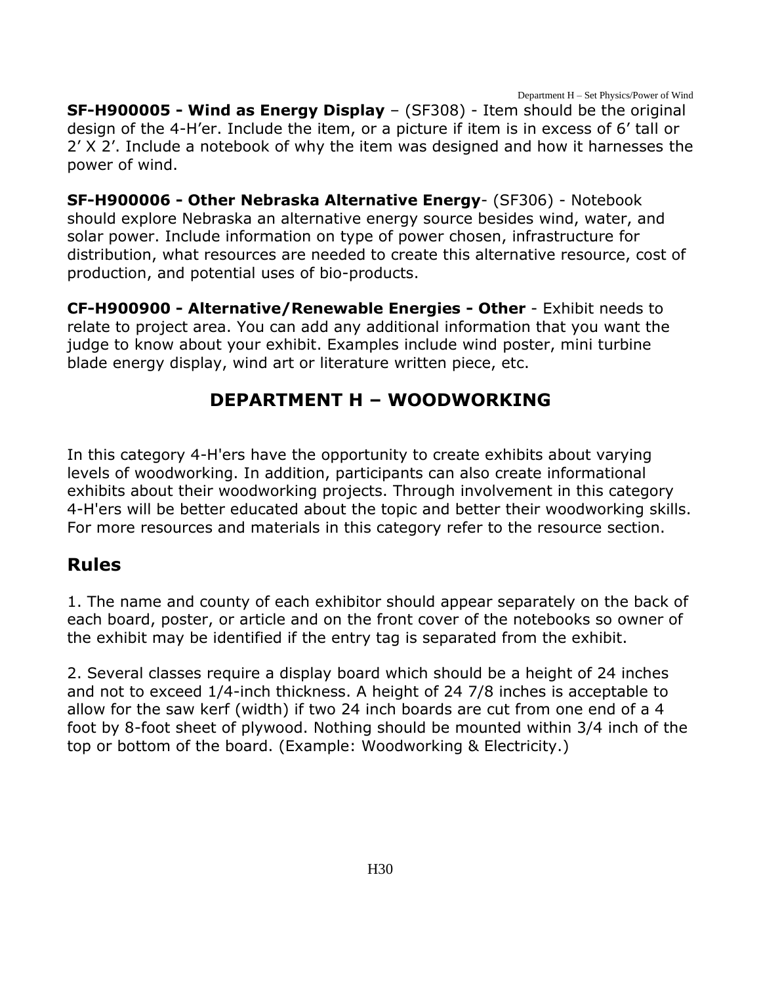Department H – Set Physics/Power of Wind

**SF-H900005 - Wind as Energy Display** – (SF308) - Item should be the original design of the 4-H'er. Include the item, or a picture if item is in excess of 6' tall or 2' X 2'. Include a notebook of why the item was designed and how it harnesses the power of wind.

**SF-H900006 - Other Nebraska Alternative Energy**- (SF306) - Notebook should explore Nebraska an alternative energy source besides wind, water, and solar power. Include information on type of power chosen, infrastructure for distribution, what resources are needed to create this alternative resource, cost of production, and potential uses of bio-products.

**CF-H900900 - Alternative/Renewable Energies - Other** - Exhibit needs to relate to project area. You can add any additional information that you want the judge to know about your exhibit. Examples include wind poster, mini turbine blade energy display, wind art or literature written piece, etc.

### **DEPARTMENT H – WOODWORKING**

<span id="page-30-0"></span>In this category 4-H'ers have the opportunity to create exhibits about varying levels of woodworking. In addition, participants can also create informational exhibits about their woodworking projects. Through involvement in this category 4-H'ers will be better educated about the topic and better their woodworking skills. For more resources and materials in this category refer to the resource section.

### **Rules**

1. The name and county of each exhibitor should appear separately on the back of each board, poster, or article and on the front cover of the notebooks so owner of the exhibit may be identified if the entry tag is separated from the exhibit.

2. Several classes require a display board which should be a height of 24 inches and not to exceed 1/4-inch thickness. A height of 24 7/8 inches is acceptable to allow for the saw kerf (width) if two 24 inch boards are cut from one end of a 4 foot by 8-foot sheet of plywood. Nothing should be mounted within 3/4 inch of the top or bottom of the board. (Example: Woodworking & Electricity.)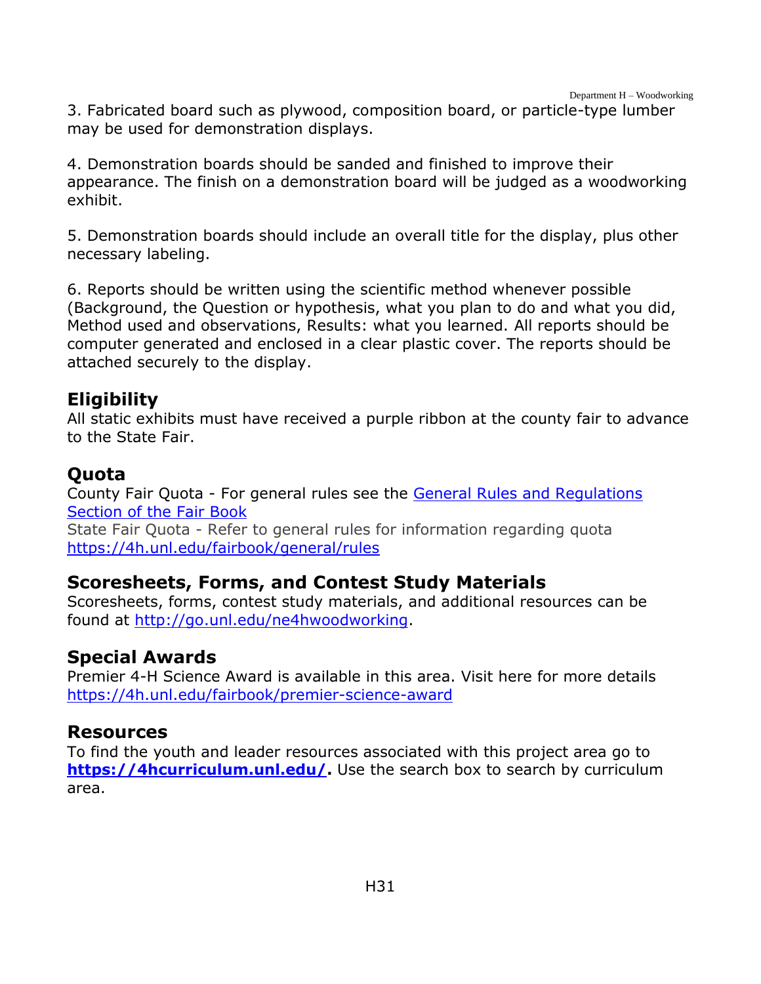3. Fabricated board such as plywood, composition board, or particle-type lumber may be used for demonstration displays.

4. Demonstration boards should be sanded and finished to improve their appearance. The finish on a demonstration board will be judged as a woodworking exhibit.

5. Demonstration boards should include an overall title for the display, plus other necessary labeling.

6. Reports should be written using the scientific method whenever possible (Background, the Question or hypothesis, what you plan to do and what you did, Method used and observations, Results: what you learned. All reports should be computer generated and enclosed in a clear plastic cover. The reports should be attached securely to the display.

### **Eligibility**

All static exhibits must have received a purple ribbon at the county fair to advance to the State Fair.

### **Quota**

County Fair Quota - For general rules see the [General Rules and](https://unl.box.com/s/e7w1cmzwit0us89x96k1h2gdrs51dsy2) Regulations [Section of the Fair Book](https://unl.box.com/s/e7w1cmzwit0us89x96k1h2gdrs51dsy2) State Fair Quota - Refer to general rules for information regarding quota <https://4h.unl.edu/fairbook/general/rules>

### **Scoresheets, Forms, and Contest Study Materials**

Scoresheets, forms, contest study materials, and additional resources can be found at [http://go.unl.edu/ne4hwoodworking.](http://go.unl.edu/ne4hwoodworking)

### **Special Awards**

Premier 4-H Science Award is available in this area. Visit here for more details <https://4h.unl.edu/fairbook/premier-science-award>

### **Resources**

To find the youth and leader resources associated with this project area go to **[https://4hcurriculum.unl.edu/.](https://4hcurriculum.unl.edu/)** Use the search box to search by curriculum area.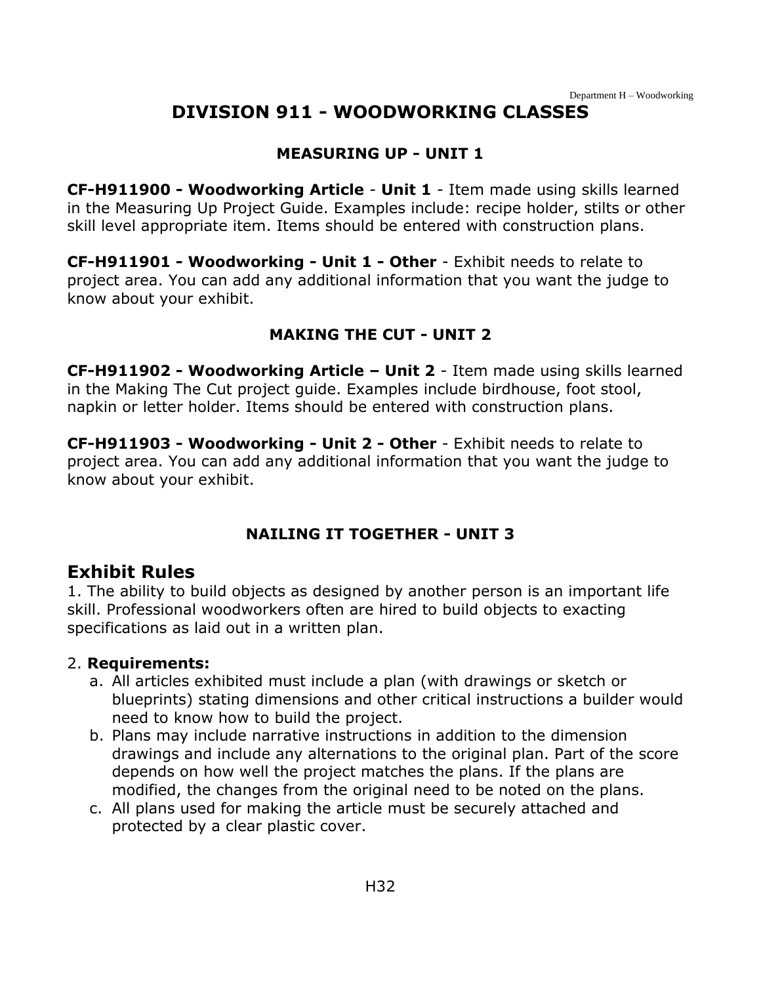# **DIVISION 911 - WOODWORKING CLASSES**

#### **MEASURING UP - UNIT 1**

<span id="page-32-0"></span>**CF-H911900 - Woodworking Article** - **Unit 1** - Item made using skills learned in the Measuring Up Project Guide. Examples include: recipe holder, stilts or other skill level appropriate item. Items should be entered with construction plans.

**CF-H911901 - Woodworking - Unit 1 - Other** - Exhibit needs to relate to project area. You can add any additional information that you want the judge to know about your exhibit.

#### **MAKING THE CUT - UNIT 2**

**CF-H911902 - Woodworking Article – Unit 2** - Item made using skills learned in the Making The Cut project guide. Examples include birdhouse, foot stool, napkin or letter holder. Items should be entered with construction plans.

**CF-H911903 - Woodworking - Unit 2 - Other** - Exhibit needs to relate to project area. You can add any additional information that you want the judge to know about your exhibit.

#### **NAILING IT TOGETHER - UNIT 3**

#### **Exhibit Rules**

1. The ability to build objects as designed by another person is an important life skill. Professional woodworkers often are hired to build objects to exacting specifications as laid out in a written plan.

#### 2. **Requirements:**

- a. All articles exhibited must include a plan (with drawings or sketch or blueprints) stating dimensions and other critical instructions a builder would need to know how to build the project.
- b. Plans may include narrative instructions in addition to the dimension drawings and include any alternations to the original plan. Part of the score depends on how well the project matches the plans. If the plans are modified, the changes from the original need to be noted on the plans.
- c. All plans used for making the article must be securely attached and protected by a clear plastic cover.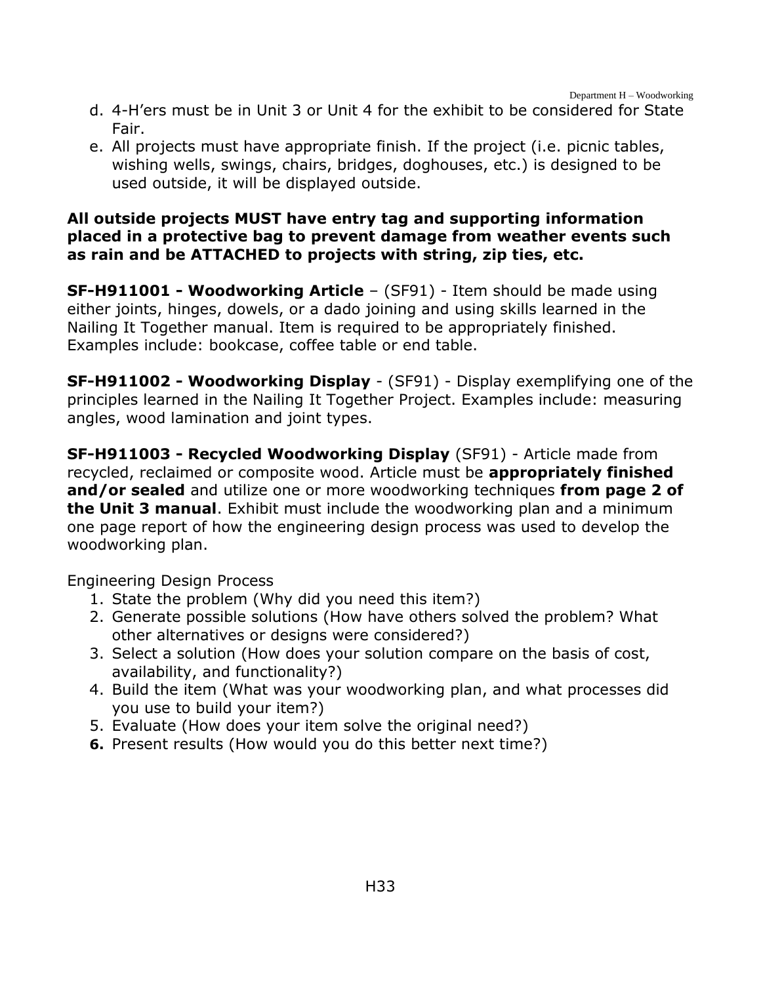- d. 4-H'ers must be in Unit 3 or Unit 4 for the exhibit to be considered for State Fair.
- e. All projects must have appropriate finish. If the project (i.e. picnic tables, wishing wells, swings, chairs, bridges, doghouses, etc.) is designed to be used outside, it will be displayed outside.

#### **All outside projects MUST have entry tag and supporting information placed in a protective bag to prevent damage from weather events such as rain and be ATTACHED to projects with string, zip ties, etc.**

**SF-H911001 - Woodworking Article** – (SF91) - Item should be made using either joints, hinges, dowels, or a dado joining and using skills learned in the Nailing It Together manual. Item is required to be appropriately finished. Examples include: bookcase, coffee table or end table.

**SF-H911002 - Woodworking Display** - (SF91) - Display exemplifying one of the principles learned in the Nailing It Together Project. Examples include: measuring angles, wood lamination and joint types.

**SF-H911003 - Recycled Woodworking Display** (SF91) - Article made from recycled, reclaimed or composite wood. Article must be **appropriately finished and/or sealed** and utilize one or more woodworking techniques **from page 2 of the Unit 3 manual**. Exhibit must include the woodworking plan and a minimum one page report of how the engineering design process was used to develop the woodworking plan.

Engineering Design Process

- 1. State the problem (Why did you need this item?)
- 2. Generate possible solutions (How have others solved the problem? What other alternatives or designs were considered?)
- 3. Select a solution (How does your solution compare on the basis of cost, availability, and functionality?)
- 4. Build the item (What was your woodworking plan, and what processes did you use to build your item?)
- 5. Evaluate (How does your item solve the original need?)
- **6.** Present results (How would you do this better next time?)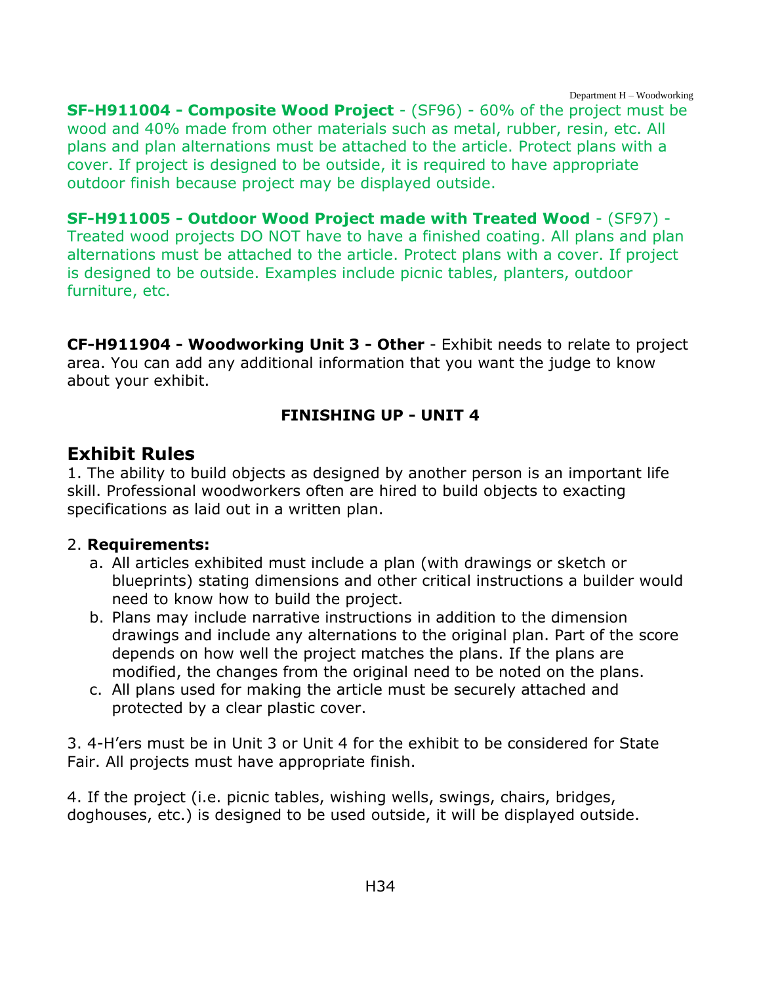Department H – Woodworking

**SF-H911004 - Composite Wood Project** - (SF96) - 60% of the project must be wood and 40% made from other materials such as metal, rubber, resin, etc. All plans and plan alternations must be attached to the article. Protect plans with a cover. If project is designed to be outside, it is required to have appropriate outdoor finish because project may be displayed outside.

**SF-H911005 - Outdoor Wood Project made with Treated Wood** - (SF97) - Treated wood projects DO NOT have to have a finished coating. All plans and plan alternations must be attached to the article. Protect plans with a cover. If project is designed to be outside. Examples include picnic tables, planters, outdoor furniture, etc.

**CF-H911904 - Woodworking Unit 3 - Other** - Exhibit needs to relate to project area. You can add any additional information that you want the judge to know about your exhibit.

#### **FINISHING UP - UNIT 4**

#### **Exhibit Rules**

1. The ability to build objects as designed by another person is an important life skill. Professional woodworkers often are hired to build objects to exacting specifications as laid out in a written plan.

#### 2. **Requirements:**

- a. All articles exhibited must include a plan (with drawings or sketch or blueprints) stating dimensions and other critical instructions a builder would need to know how to build the project.
- b. Plans may include narrative instructions in addition to the dimension drawings and include any alternations to the original plan. Part of the score depends on how well the project matches the plans. If the plans are modified, the changes from the original need to be noted on the plans.
- c. All plans used for making the article must be securely attached and protected by a clear plastic cover.

3. 4-H'ers must be in Unit 3 or Unit 4 for the exhibit to be considered for State Fair. All projects must have appropriate finish.

4. If the project (i.e. picnic tables, wishing wells, swings, chairs, bridges, doghouses, etc.) is designed to be used outside, it will be displayed outside.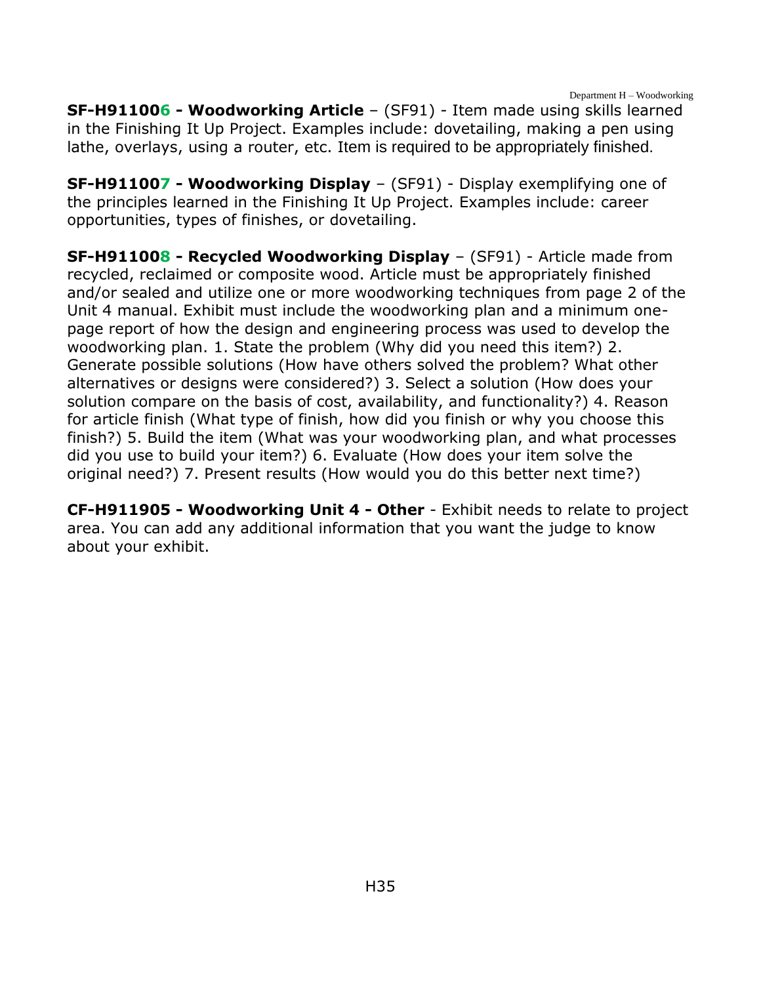Department H – Woodworking

**SF-H911006 - Woodworking Article** – (SF91) - Item made using skills learned in the Finishing It Up Project. Examples include: dovetailing, making a pen using lathe, overlays, using a router, etc. Item is required to be appropriately finished.

**SF-H911007 - Woodworking Display** – (SF91) - Display exemplifying one of the principles learned in the Finishing It Up Project. Examples include: career opportunities, types of finishes, or dovetailing.

**SF-H911008 - Recycled Woodworking Display** – (SF91) - Article made from recycled, reclaimed or composite wood. Article must be appropriately finished and/or sealed and utilize one or more woodworking techniques from page 2 of the Unit 4 manual. Exhibit must include the woodworking plan and a minimum onepage report of how the design and engineering process was used to develop the woodworking plan. 1. State the problem (Why did you need this item?) 2. Generate possible solutions (How have others solved the problem? What other alternatives or designs were considered?) 3. Select a solution (How does your solution compare on the basis of cost, availability, and functionality?) 4. Reason for article finish (What type of finish, how did you finish or why you choose this finish?) 5. Build the item (What was your woodworking plan, and what processes did you use to build your item?) 6. Evaluate (How does your item solve the original need?) 7. Present results (How would you do this better next time?)

**CF-H911905 - Woodworking Unit 4 - Other** - Exhibit needs to relate to project area. You can add any additional information that you want the judge to know about your exhibit.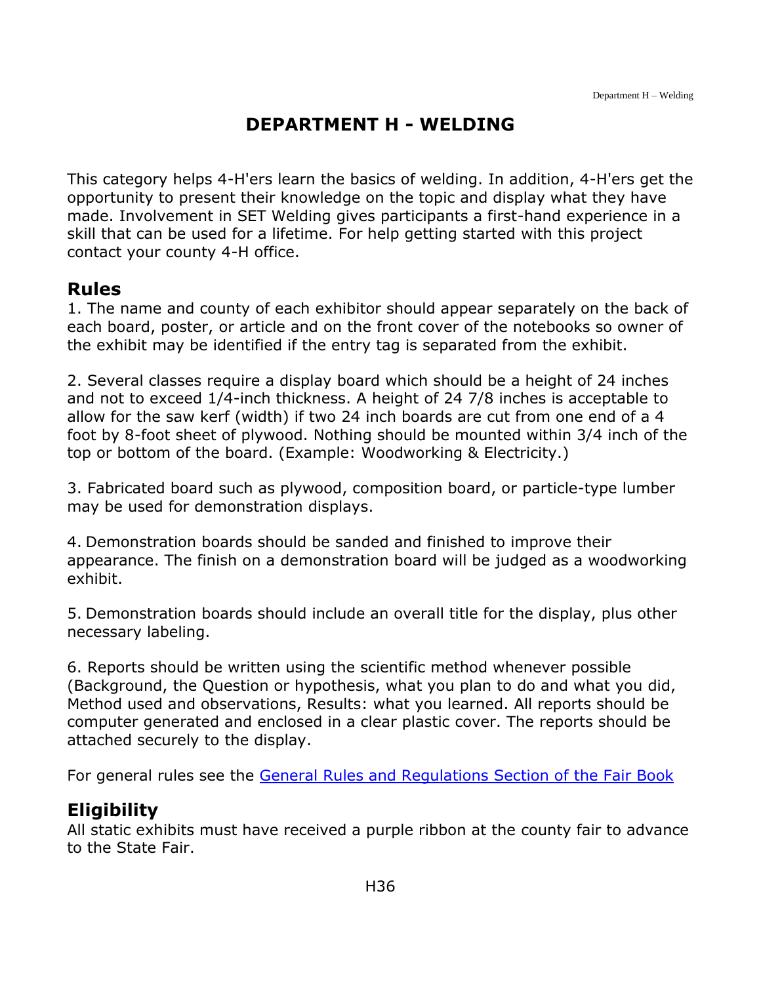# **DEPARTMENT H - WELDING**

<span id="page-36-0"></span>This category helps 4-H'ers learn the basics of welding. In addition, 4-H'ers get the opportunity to present their knowledge on the topic and display what they have made. Involvement in SET Welding gives participants a first-hand experience in a skill that can be used for a lifetime. For help getting started with this project contact your county 4-H office.

#### **Rules**

1. The name and county of each exhibitor should appear separately on the back of each board, poster, or article and on the front cover of the notebooks so owner of the exhibit may be identified if the entry tag is separated from the exhibit.

2. Several classes require a display board which should be a height of 24 inches and not to exceed 1/4-inch thickness. A height of 24 7/8 inches is acceptable to allow for the saw kerf (width) if two 24 inch boards are cut from one end of a 4 foot by 8-foot sheet of plywood. Nothing should be mounted within 3/4 inch of the top or bottom of the board. (Example: Woodworking & Electricity.)

3. Fabricated board such as plywood, composition board, or particle-type lumber may be used for demonstration displays.

4. Demonstration boards should be sanded and finished to improve their appearance. The finish on a demonstration board will be judged as a woodworking exhibit.

5. Demonstration boards should include an overall title for the display, plus other necessary labeling.

6. Reports should be written using the scientific method whenever possible (Background, the Question or hypothesis, what you plan to do and what you did, Method used and observations, Results: what you learned. All reports should be computer generated and enclosed in a clear plastic cover. The reports should be attached securely to the display.

For general rules see the [General Rules and Regulations Section of the Fair Book](https://unl.box.com/s/e7w1cmzwit0us89x96k1h2gdrs51dsy2)

# **Eligibility**

All static exhibits must have received a purple ribbon at the county fair to advance to the State Fair.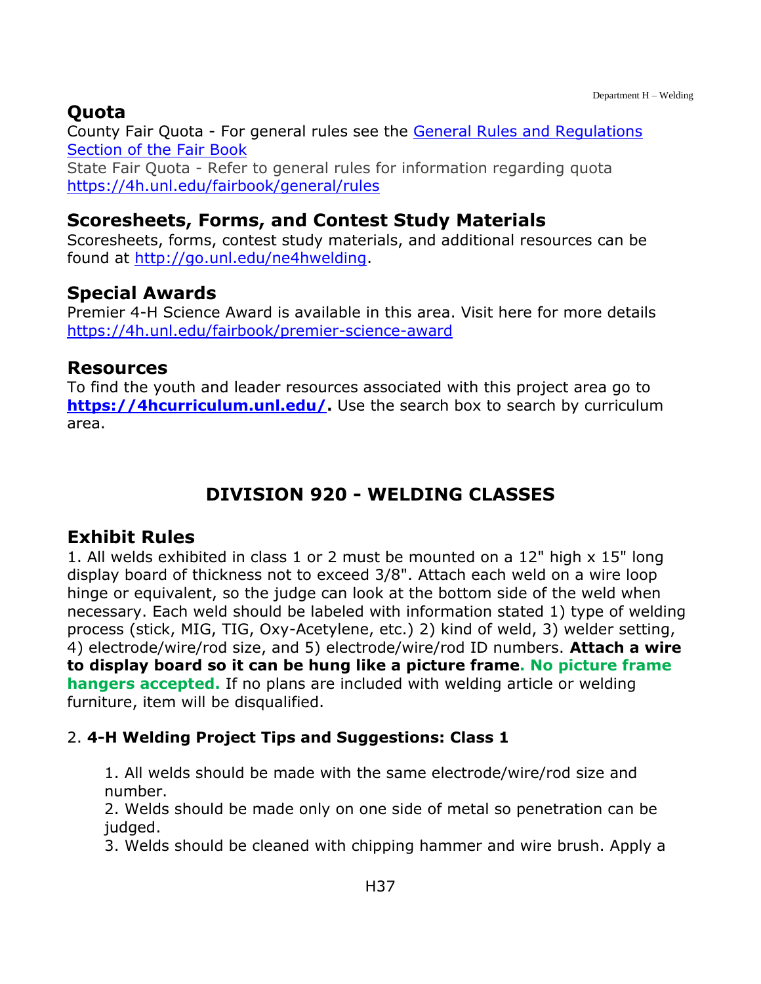# **Quota**

County Fair Quota - For general rules see the [General Rules and Regulations](https://unl.box.com/s/e7w1cmzwit0us89x96k1h2gdrs51dsy2)  [Section of the Fair Book](https://unl.box.com/s/e7w1cmzwit0us89x96k1h2gdrs51dsy2) State Fair Quota - Refer to general rules for information regarding quota <https://4h.unl.edu/fairbook/general/rules>

### **Scoresheets, Forms, and Contest Study Materials**

Scoresheets, forms, contest study materials, and additional resources can be found at [http://go.unl.edu/ne4hwelding.](http://go.unl.edu/ne4hwelding)

# **Special Awards**

Premier 4-H Science Award is available in this area. Visit here for more details <https://4h.unl.edu/fairbook/premier-science-award>

#### **Resources**

To find the youth and leader resources associated with this project area go to **[https://4hcurriculum.unl.edu/.](https://4hcurriculum.unl.edu/)** Use the search box to search by curriculum area.

# **DIVISION 920 - WELDING CLASSES**

### <span id="page-37-0"></span>**Exhibit Rules**

1. All welds exhibited in class 1 or 2 must be mounted on a 12" high x 15" long display board of thickness not to exceed 3/8". Attach each weld on a wire loop hinge or equivalent, so the judge can look at the bottom side of the weld when necessary. Each weld should be labeled with information stated 1) type of welding process (stick, MIG, TIG, Oxy-Acetylene, etc.) 2) kind of weld, 3) welder setting, 4) electrode/wire/rod size, and 5) electrode/wire/rod ID numbers. **Attach a wire to display board so it can be hung like a picture frame. No picture frame hangers accepted.** If no plans are included with welding article or welding furniture, item will be disqualified.

### 2. **4-H Welding Project Tips and Suggestions: Class 1**

1. All welds should be made with the same electrode/wire/rod size and number.

2. Welds should be made only on one side of metal so penetration can be judged.

3. Welds should be cleaned with chipping hammer and wire brush. Apply a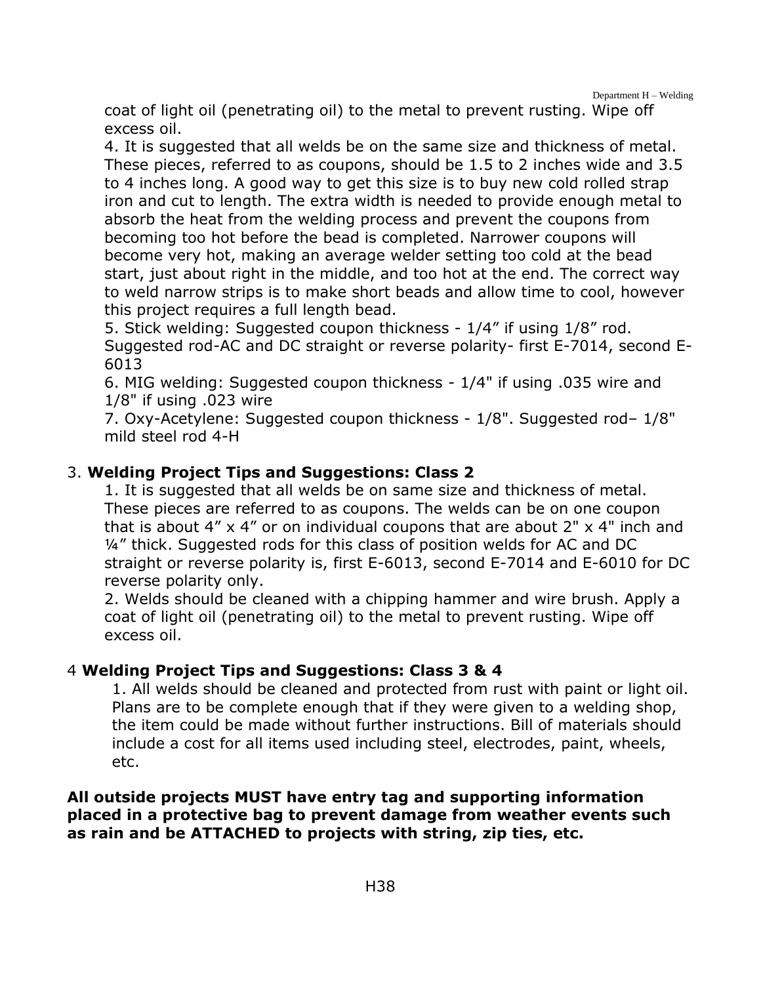Department H – Welding

coat of light oil (penetrating oil) to the metal to prevent rusting. Wipe off excess oil.

4. It is suggested that all welds be on the same size and thickness of metal. These pieces, referred to as coupons, should be 1.5 to 2 inches wide and 3.5 to 4 inches long. A good way to get this size is to buy new cold rolled strap iron and cut to length. The extra width is needed to provide enough metal to absorb the heat from the welding process and prevent the coupons from becoming too hot before the bead is completed. Narrower coupons will become very hot, making an average welder setting too cold at the bead start, just about right in the middle, and too hot at the end. The correct way to weld narrow strips is to make short beads and allow time to cool, however this project requires a full length bead.

5. Stick welding: Suggested coupon thickness - 1/4" if using 1/8" rod. Suggested rod-AC and DC straight or reverse polarity- first E-7014, second E-6013

6. MIG welding: Suggested coupon thickness - 1/4" if using .035 wire and 1/8" if using .023 wire

7. Oxy-Acetylene: Suggested coupon thickness - 1/8". Suggested rod– 1/8" mild steel rod 4-H

#### 3. **Welding Project Tips and Suggestions: Class 2**

1. It is suggested that all welds be on same size and thickness of metal. These pieces are referred to as coupons. The welds can be on one coupon that is about  $4'' \times 4''$  or on individual coupons that are about  $2'' \times 4''$  inch and ¼" thick. Suggested rods for this class of position welds for AC and DC straight or reverse polarity is, first E-6013, second E-7014 and E-6010 for DC reverse polarity only.

2. Welds should be cleaned with a chipping hammer and wire brush. Apply a coat of light oil (penetrating oil) to the metal to prevent rusting. Wipe off excess oil.

#### 4 **Welding Project Tips and Suggestions: Class 3 & 4**

1. All welds should be cleaned and protected from rust with paint or light oil. Plans are to be complete enough that if they were given to a welding shop, the item could be made without further instructions. Bill of materials should include a cost for all items used including steel, electrodes, paint, wheels, etc.

#### **All outside projects MUST have entry tag and supporting information placed in a protective bag to prevent damage from weather events such as rain and be ATTACHED to projects with string, zip ties, etc.**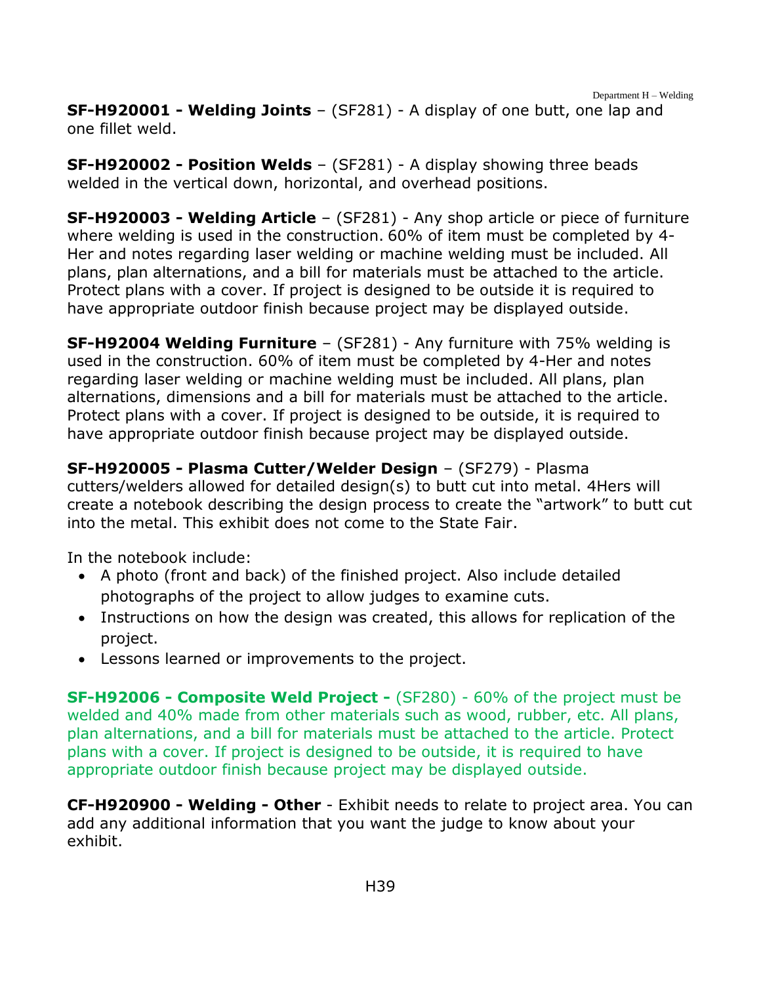**SF-H920001 - Welding Joints** – (SF281) - A display of one butt, one lap and one fillet weld.

**SF-H920002 - Position Welds** – (SF281) - A display showing three beads welded in the vertical down, horizontal, and overhead positions.

**SF-H920003 - Welding Article** – (SF281) - Any shop article or piece of furniture where welding is used in the construction. 60% of item must be completed by 4- Her and notes regarding laser welding or machine welding must be included. All plans, plan alternations, and a bill for materials must be attached to the article. Protect plans with a cover. If project is designed to be outside it is required to have appropriate outdoor finish because project may be displayed outside.

**SF-H92004 Welding Furniture** – (SF281) - Any furniture with 75% welding is used in the construction. 60% of item must be completed by 4-Her and notes regarding laser welding or machine welding must be included. All plans, plan alternations, dimensions and a bill for materials must be attached to the article. Protect plans with a cover. If project is designed to be outside, it is required to have appropriate outdoor finish because project may be displayed outside.

**SF-H920005 - Plasma Cutter/Welder Design** – (SF279) - Plasma cutters/welders allowed for detailed design(s) to butt cut into metal. 4Hers will create a notebook describing the design process to create the "artwork" to butt cut into the metal. This exhibit does not come to the State Fair.

In the notebook include:

- A photo (front and back) of the finished project. Also include detailed photographs of the project to allow judges to examine cuts.
- Instructions on how the design was created, this allows for replication of the project.
- Lessons learned or improvements to the project.

**SF-H92006 - Composite Weld Project -** (SF280) - 60% of the project must be welded and 40% made from other materials such as wood, rubber, etc. All plans, plan alternations, and a bill for materials must be attached to the article. Protect plans with a cover. If project is designed to be outside, it is required to have appropriate outdoor finish because project may be displayed outside.

**CF-H920900 - Welding - Other** - Exhibit needs to relate to project area. You can add any additional information that you want the judge to know about your exhibit.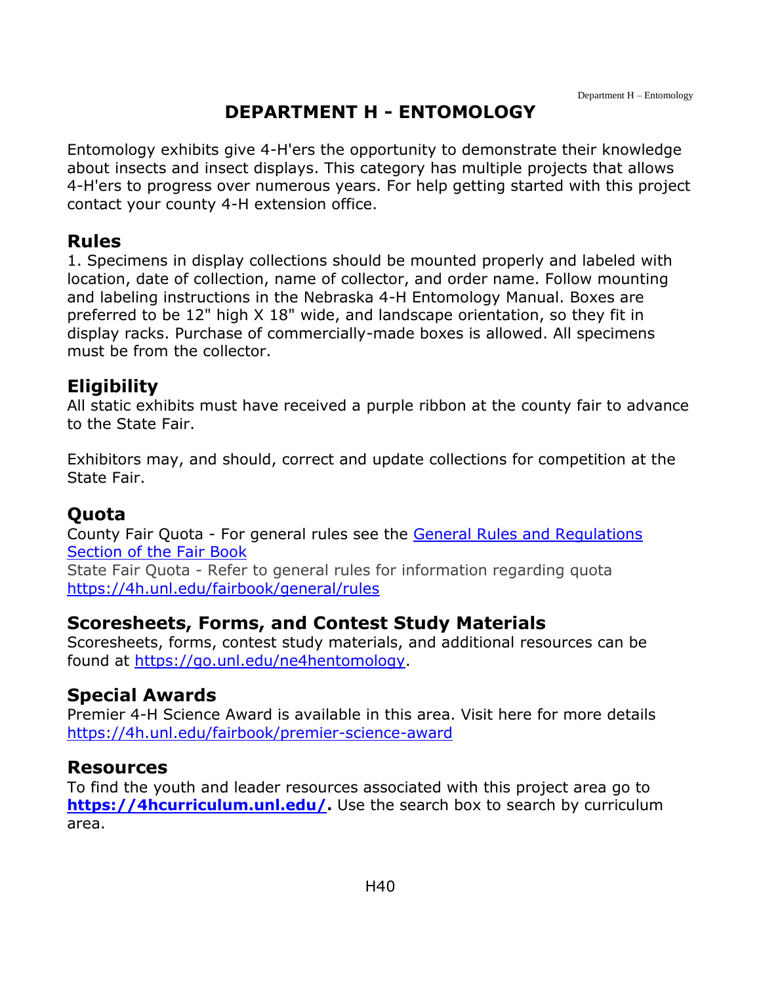### **DEPARTMENT H - ENTOMOLOGY**

<span id="page-40-0"></span>Entomology exhibits give 4-H'ers the opportunity to demonstrate their knowledge about insects and insect displays. This category has multiple projects that allows 4-H'ers to progress over numerous years. For help getting started with this project contact your county 4-H extension office.

#### **Rules**

1. Specimens in display collections should be mounted properly and labeled with location, date of collection, name of collector, and order name. Follow mounting and labeling instructions in the Nebraska 4-H Entomology Manual. Boxes are preferred to be 12" high X 18" wide, and landscape orientation, so they fit in display racks. Purchase of commercially-made boxes is allowed. All specimens must be from the collector.

#### **Eligibility**

All static exhibits must have received a purple ribbon at the county fair to advance to the State Fair.

Exhibitors may, and should, correct and update collections for competition at the State Fair.

#### **Quota**

County Fair Quota - For general rules see the [General Rules and Regulations](https://unl.box.com/s/e7w1cmzwit0us89x96k1h2gdrs51dsy2)  [Section of the Fair Book](https://unl.box.com/s/e7w1cmzwit0us89x96k1h2gdrs51dsy2)

State Fair Quota - Refer to general rules for information regarding quota <https://4h.unl.edu/fairbook/general/rules>

#### **Scoresheets, Forms, and Contest Study Materials**

Scoresheets, forms, contest study materials, and additional resources can be found at [https://go.unl.edu/ne4hentomology.](https://go.unl.edu/ne4hentomology)

#### **Special Awards**

Premier 4-H Science Award is available in this area. Visit here for more details <https://4h.unl.edu/fairbook/premier-science-award>

#### **Resources**

To find the youth and leader resources associated with this project area go to **[https://4hcurriculum.unl.edu/.](https://4hcurriculum.unl.edu/)** Use the search box to search by curriculum area.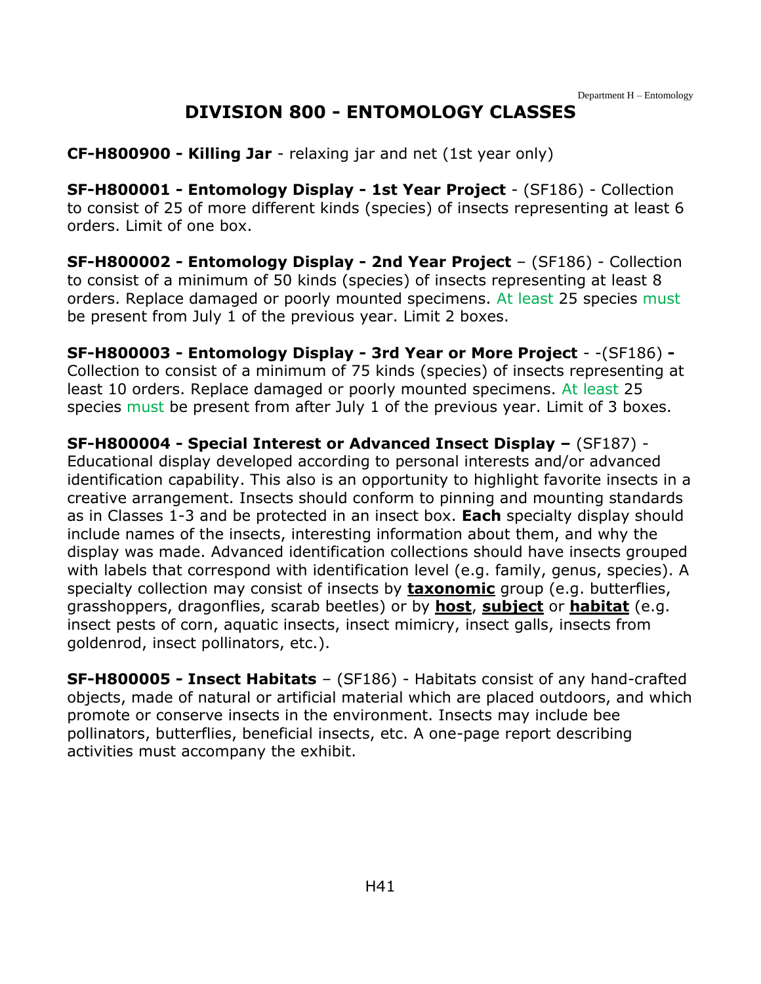### **DIVISION 800 - ENTOMOLOGY CLASSES**

<span id="page-41-0"></span>**CF-H800900 - Killing Jar** - relaxing jar and net (1st year only)

**SF-H800001 - Entomology Display - 1st Year Project** - (SF186) - Collection to consist of 25 of more different kinds (species) of insects representing at least 6 orders. Limit of one box.

**SF-H800002 - Entomology Display - 2nd Year Project** – (SF186) - Collection to consist of a minimum of 50 kinds (species) of insects representing at least 8 orders. Replace damaged or poorly mounted specimens. At least 25 species must be present from July 1 of the previous year. Limit 2 boxes.

**SF-H800003 - Entomology Display - 3rd Year or More Project** - -(SF186) **-** Collection to consist of a minimum of 75 kinds (species) of insects representing at least 10 orders. Replace damaged or poorly mounted specimens. At least 25 species must be present from after July 1 of the previous year. Limit of 3 boxes.

**SF-H800004 - Special Interest or Advanced Insect Display –** (SF187) - Educational display developed according to personal interests and/or advanced identification capability. This also is an opportunity to highlight favorite insects in a creative arrangement. Insects should conform to pinning and mounting standards as in Classes 1-3 and be protected in an insect box. **Each** specialty display should include names of the insects, interesting information about them, and why the display was made. Advanced identification collections should have insects grouped with labels that correspond with identification level (e.g. family, genus, species). A specialty collection may consist of insects by **taxonomic** group (e.g. butterflies, grasshoppers, dragonflies, scarab beetles) or by **host**, **subject** or **habitat** (e.g. insect pests of corn, aquatic insects, insect mimicry, insect galls, insects from goldenrod, insect pollinators, etc.).

**SF-H800005 - Insect Habitats** – (SF186) - Habitats consist of any hand-crafted objects, made of natural or artificial material which are placed outdoors, and which promote or conserve insects in the environment. Insects may include bee pollinators, butterflies, beneficial insects, etc. A one-page report describing activities must accompany the exhibit.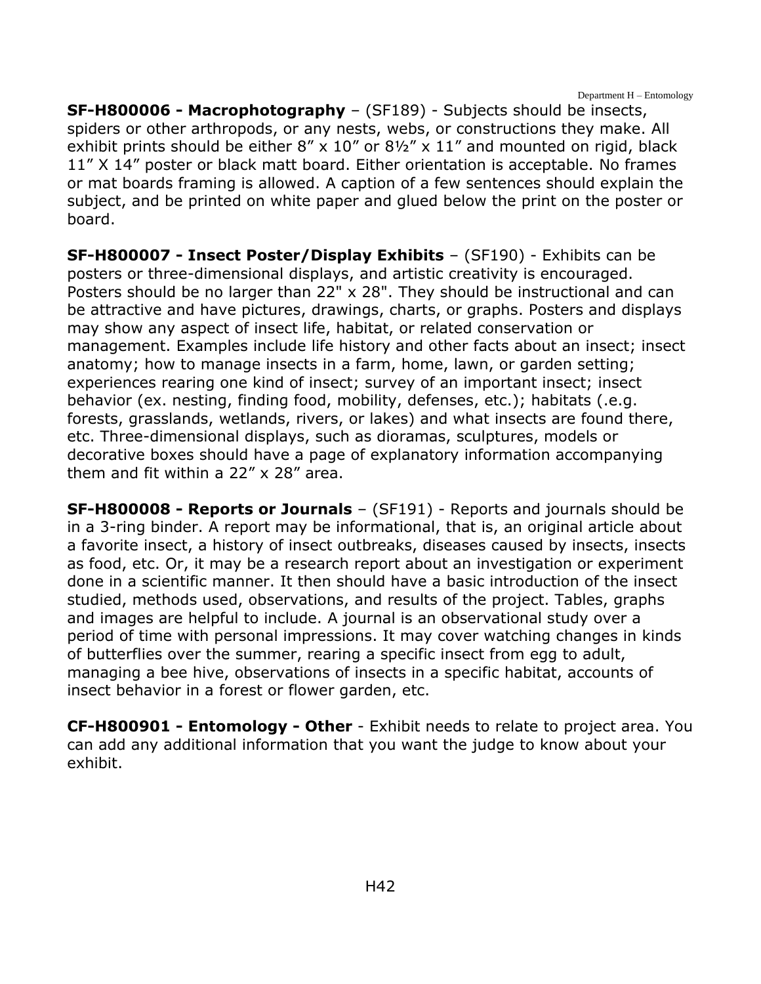Department H – Entomology

**SF-H800006 - Macrophotography** – (SF189) - Subjects should be insects, spiders or other arthropods, or any nests, webs, or constructions they make. All exhibit prints should be either  $8'' \times 10''$  or  $8\frac{1}{2}$  x  $11''$  and mounted on rigid, black 11" X 14" poster or black matt board. Either orientation is acceptable. No frames or mat boards framing is allowed. A caption of a few sentences should explain the subject, and be printed on white paper and glued below the print on the poster or board.

**SF-H800007 - Insect Poster/Display Exhibits** – (SF190) - Exhibits can be posters or three-dimensional displays, and artistic creativity is encouraged. Posters should be no larger than 22" x 28". They should be instructional and can be attractive and have pictures, drawings, charts, or graphs. Posters and displays may show any aspect of insect life, habitat, or related conservation or management. Examples include life history and other facts about an insect; insect anatomy; how to manage insects in a farm, home, lawn, or garden setting; experiences rearing one kind of insect; survey of an important insect; insect behavior (ex. nesting, finding food, mobility, defenses, etc.); habitats (.e.g. forests, grasslands, wetlands, rivers, or lakes) and what insects are found there, etc. Three-dimensional displays, such as dioramas, sculptures, models or decorative boxes should have a page of explanatory information accompanying them and fit within a 22" x 28" area.

**SF-H800008 - Reports or Journals** – (SF191) - Reports and journals should be in a 3-ring binder. A report may be informational, that is, an original article about a favorite insect, a history of insect outbreaks, diseases caused by insects, insects as food, etc. Or, it may be a research report about an investigation or experiment done in a scientific manner. It then should have a basic introduction of the insect studied, methods used, observations, and results of the project. Tables, graphs and images are helpful to include. A journal is an observational study over a period of time with personal impressions. It may cover watching changes in kinds of butterflies over the summer, rearing a specific insect from egg to adult, managing a bee hive, observations of insects in a specific habitat, accounts of insect behavior in a forest or flower garden, etc.

**CF-H800901 - Entomology - Other** - Exhibit needs to relate to project area. You can add any additional information that you want the judge to know about your exhibit.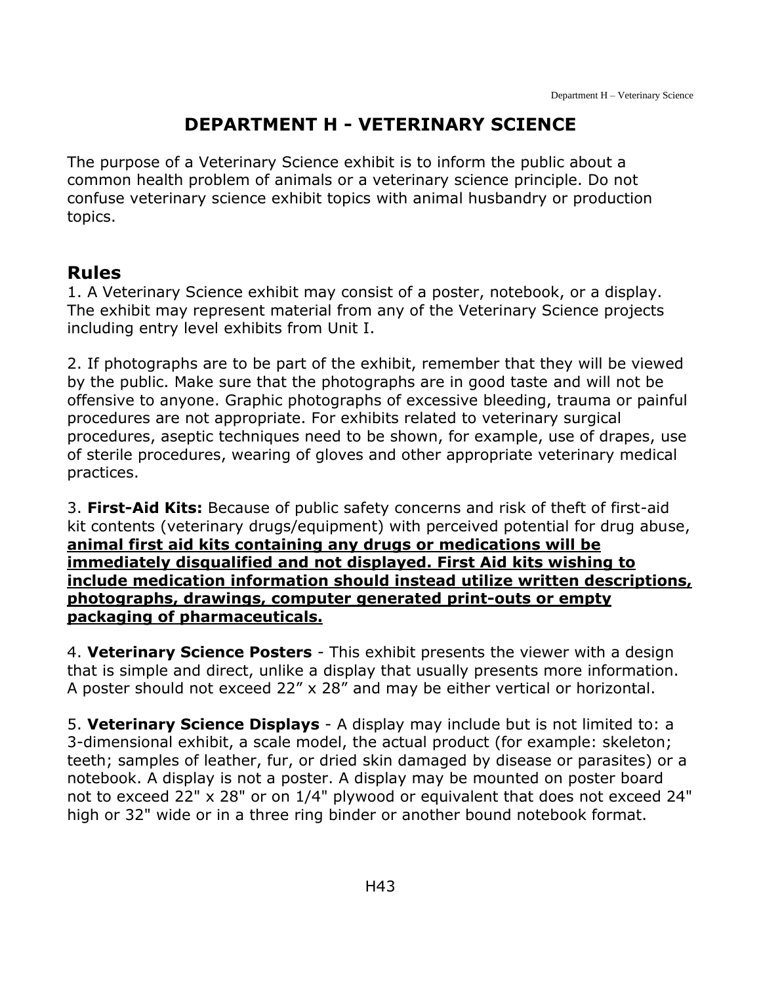# **DEPARTMENT H - VETERINARY SCIENCE**

<span id="page-43-0"></span>The purpose of a Veterinary Science exhibit is to inform the public about a common health problem of animals or a veterinary science principle. Do not confuse veterinary science exhibit topics with animal husbandry or production topics.

# **Rules**

1. A Veterinary Science exhibit may consist of a poster, notebook, or a display. The exhibit may represent material from any of the Veterinary Science projects including entry level exhibits from Unit I.

2. If photographs are to be part of the exhibit, remember that they will be viewed by the public. Make sure that the photographs are in good taste and will not be offensive to anyone. Graphic photographs of excessive bleeding, trauma or painful procedures are not appropriate. For exhibits related to veterinary surgical procedures, aseptic techniques need to be shown, for example, use of drapes, use of sterile procedures, wearing of gloves and other appropriate veterinary medical practices.

3. **First-Aid Kits:** Because of public safety concerns and risk of theft of first-aid kit contents (veterinary drugs/equipment) with perceived potential for drug abuse, **animal first aid kits containing any drugs or medications will be immediately disqualified and not displayed. First Aid kits wishing to include medication information should instead utilize written descriptions, photographs, drawings, computer generated print-outs or empty packaging of pharmaceuticals.**

4. **Veterinary Science Posters** - This exhibit presents the viewer with a design that is simple and direct, unlike a display that usually presents more information. A poster should not exceed 22" x 28" and may be either vertical or horizontal.

5. **Veterinary Science Displays** - A display may include but is not limited to: a 3-dimensional exhibit, a scale model, the actual product (for example: skeleton; teeth; samples of leather, fur, or dried skin damaged by disease or parasites) or a notebook. A display is not a poster. A display may be mounted on poster board not to exceed 22" x 28" or on 1/4" plywood or equivalent that does not exceed 24" high or 32" wide or in a three ring binder or another bound notebook format.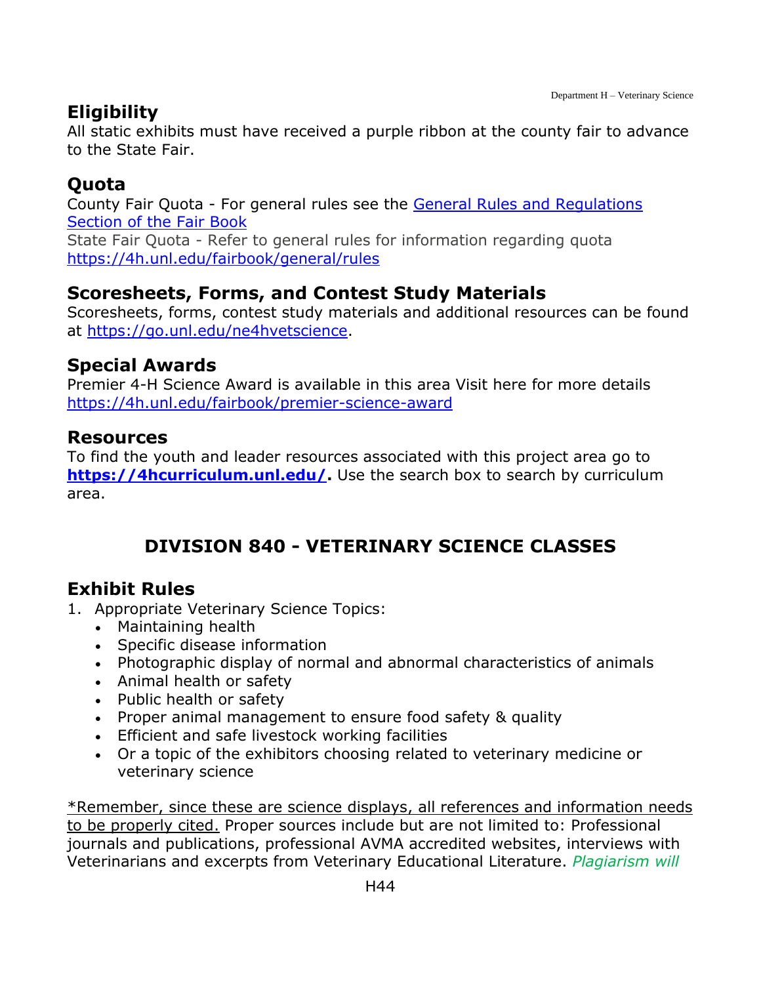# **Eligibility**

All static exhibits must have received a purple ribbon at the county fair to advance to the State Fair.

### **Quota**

County Fair Quota - For general rules see the General Rules [and Regulations](https://unl.box.com/s/e7w1cmzwit0us89x96k1h2gdrs51dsy2)  [Section of the Fair Book](https://unl.box.com/s/e7w1cmzwit0us89x96k1h2gdrs51dsy2) State Fair Quota - Refer to general rules for information regarding quota <https://4h.unl.edu/fairbook/general/rules>

# **Scoresheets, Forms, and Contest Study Materials**

Scoresheets, forms, contest study materials and additional resources can be found at [https://go.unl.edu/ne4hvetscience.](https://go.unl.edu/ne4hvetscience)

### **Special Awards**

Premier 4-H Science Award is available in this area Visit here for more details <https://4h.unl.edu/fairbook/premier-science-award>

#### **Resources**

To find the youth and leader resources associated with this project area go to **[https://4hcurriculum.unl.edu/.](https://4hcurriculum.unl.edu/)** Use the search box to search by curriculum area.

# **DIVISION 840 - VETERINARY SCIENCE CLASSES**

# <span id="page-44-0"></span>**Exhibit Rules**

- 1. Appropriate Veterinary Science Topics:
	- Maintaining health
	- Specific disease information
	- Photographic display of normal and abnormal characteristics of animals
	- Animal health or safety
	- Public health or safety
	- Proper animal management to ensure food safety & quality
	- Efficient and safe livestock working facilities
	- Or a topic of the exhibitors choosing related to veterinary medicine or veterinary science

\*Remember, since these are science displays, all references and information needs to be properly cited. Proper sources include but are not limited to: Professional journals and publications, professional AVMA accredited websites, interviews with Veterinarians and excerpts from Veterinary Educational Literature. *Plagiarism will*